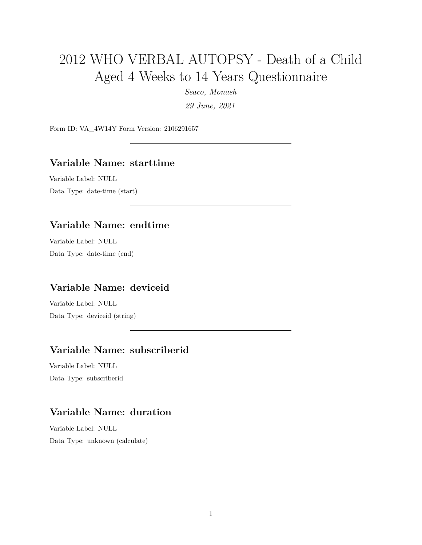# 2012 WHO VERBAL AUTOPSY - Death of a Child Aged 4 Weeks to 14 Years Questionnaire

*Seaco, Monash*

*29 June, 2021*

Form ID: VA\_4W14Y Form Version: 2106291657

#### **Variable Name: starttime**

Variable Label: NULL Data Type: date-time (start)

## **Variable Name: endtime**

Variable Label: NULL Data Type: date-time (end)

#### **Variable Name: deviceid**

Variable Label: NULL Data Type: deviceid (string)

## **Variable Name: subscriberid**

Variable Label: NULL Data Type: subscriberid

## **Variable Name: duration**

Variable Label: NULL Data Type: unknown (calculate)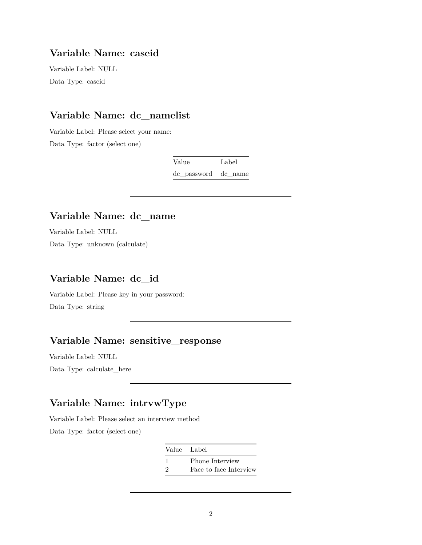## **Variable Name: caseid**

Variable Label: NULL Data Type: caseid

## **Variable Name: dc\_namelist**

Variable Label: Please select your name:

Data Type: factor (select one)

| Value               | Label |
|---------------------|-------|
| de password de name |       |

### **Variable Name: dc\_name**

Variable Label: NULL Data Type: unknown (calculate)

#### **Variable Name: dc\_id**

Variable Label: Please key in your password:

Data Type: string

## **Variable Name: sensitive\_response**

Variable Label: NULL

Data Type: calculate\_here

## **Variable Name: intrvwType**

Variable Label: Please select an interview method Data Type: factor (select one)

| Value Label   |                        |
|---------------|------------------------|
|               | Phone Interview        |
| $\mathcal{D}$ | Face to face Interview |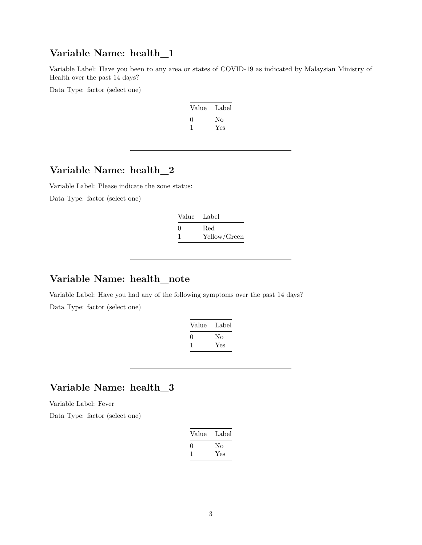## **Variable Name: health\_1**

Variable Label: Have you been to any area or states of COVID-19 as indicated by Malaysian Ministry of Health over the past 14 days?

Data Type: factor (select one)

| Value             | Label |
|-------------------|-------|
| $\mathbf{\Omega}$ | Nο    |
|                   | Yes   |

## **Variable Name: health\_2**

Variable Label: Please indicate the zone status: Data Type: factor (select one)

> Value Label 0 Red 1 Yellow/Green

## **Variable Name: health\_note**

Variable Label: Have you had any of the following symptoms over the past 14 days? Data Type: factor (select one)

| Value             | Label |
|-------------------|-------|
| $\mathbf{\Omega}$ | No    |
|                   | Yes   |

## **Variable Name: health\_3**

Variable Label: Fever

Data Type: factor (select one)

| Value             | Label |
|-------------------|-------|
| $\mathbf{\Omega}$ | Nο    |
|                   | Yes   |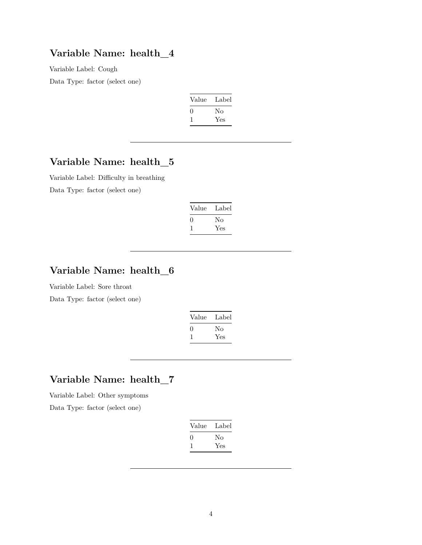#### **Variable Name: health\_4**

Variable Label: Cough Data Type: factor (select one)

| Label |
|-------|
| No    |
| Yes   |
|       |

## **Variable Name: health\_5**

Variable Label: Difficulty in breathing Data Type: factor (select one)

| Value        | Label |
|--------------|-------|
| $\mathbf{I}$ | Nο    |
|              | Yes   |

## **Variable Name: health\_6**

Variable Label: Sore throat

Data Type: factor (select one)

| Value        | Label |
|--------------|-------|
| $\mathbf{0}$ | Nο    |
|              | Yes   |

## **Variable Name: health\_7**

Variable Label: Other symptoms

Data Type: factor (select one)

| Value | Label |
|-------|-------|
| 0     | Nο    |
|       | Yes   |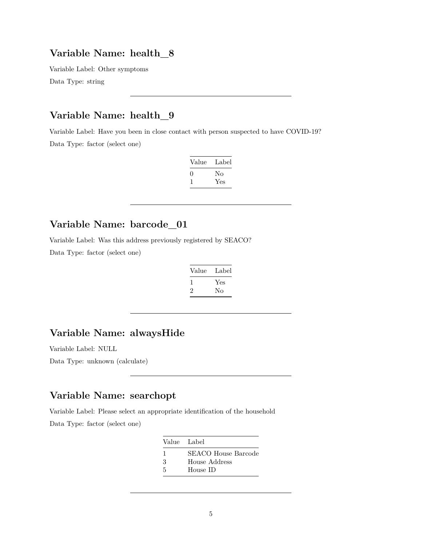#### **Variable Name: health\_8**

Variable Label: Other symptoms Data Type: string

## **Variable Name: health\_9**

Variable Label: Have you been in close contact with person suspected to have COVID-19? Data Type: factor (select one)

| Value             | Label |
|-------------------|-------|
| $\mathbf{\Omega}$ | Nο    |
|                   | Yes   |

## **Variable Name: barcode\_01**

Variable Label: Was this address previously registered by SEACO?

Data Type: factor (select one)

| Label |
|-------|
| Yes   |
| Nο    |
|       |

#### **Variable Name: alwaysHide**

Variable Label: NULL

Data Type: unknown (calculate)

## **Variable Name: searchopt**

Variable Label: Please select an appropriate identification of the household Data Type: factor (select one)

| Value Label |                     |
|-------------|---------------------|
|             | SEACO House Barcode |
| З           | House Address       |
| 5           | House ID            |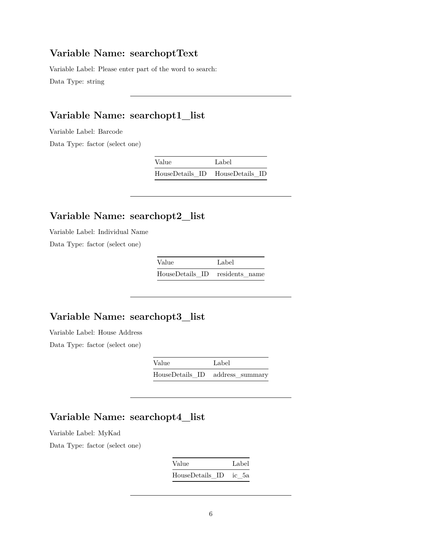#### **Variable Name: searchoptText**

Variable Label: Please enter part of the word to search: Data Type: string

## **Variable Name: searchopt1\_list**

Variable Label: Barcode

Data Type: factor (select one)

| Value           | Label           |
|-----------------|-----------------|
| HouseDetails ID | HouseDetails ID |

## **Variable Name: searchopt2\_list**

Variable Label: Individual Name

Data Type: factor (select one)

| Value                          | Label |
|--------------------------------|-------|
| HouseDetails ID residents name |       |

## **Variable Name: searchopt3\_list**

Variable Label: House Address

Data Type: factor (select one)

| Value | Label                           |
|-------|---------------------------------|
|       | HouseDetails_ID address_summary |

## **Variable Name: searchopt4\_list**

Variable Label: MyKad

Data Type: factor (select one)

| Value           |  |       | Label |
|-----------------|--|-------|-------|
| HouseDetails ID |  | ic 5a |       |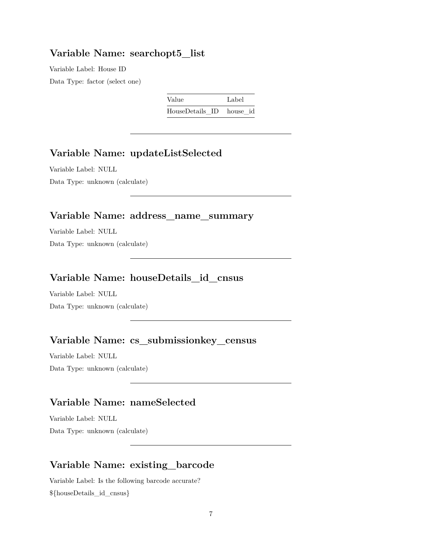#### **Variable Name: searchopt5\_list**

Variable Label: House ID Data Type: factor (select one)

| Value                    | Label |
|--------------------------|-------|
| HouseDetails ID house id |       |

## **Variable Name: updateListSelected**

Variable Label: NULL Data Type: unknown (calculate)

#### **Variable Name: address\_name\_summary**

Variable Label: NULL Data Type: unknown (calculate)

## **Variable Name: houseDetails\_id\_cnsus**

Variable Label: NULL Data Type: unknown (calculate)

## **Variable Name: cs\_submissionkey\_census**

Variable Label: NULL Data Type: unknown (calculate)

## **Variable Name: nameSelected**

Variable Label: NULL Data Type: unknown (calculate)

#### **Variable Name: existing\_barcode**

Variable Label: Is the following barcode accurate? \${houseDetails\_id\_cnsus}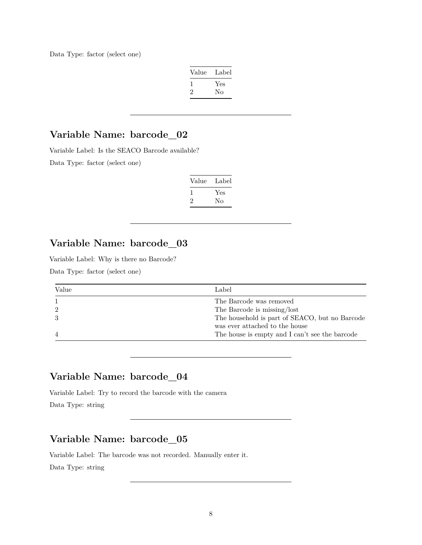Data Type: factor (select one)

| Value   | Label |
|---------|-------|
|         | Yes   |
| $\cdot$ | No    |

## **Variable Name: barcode\_02**

Variable Label: Is the SEACO Barcode available?

Data Type: factor (select one)

| Value | Label     |
|-------|-----------|
|       | Yes<br>Nο |
| ۰,    |           |

## **Variable Name: barcode\_03**

Variable Label: Why is there no Barcode?

Data Type: factor (select one)

| Value | Label                                          |
|-------|------------------------------------------------|
|       | The Barcode was removed                        |
|       | The Barcode is missing/lost                    |
|       | The household is part of SEACO, but no Barcode |
|       | was ever attached to the house                 |
|       | The house is empty and I can't see the barcode |

## **Variable Name: barcode\_04**

Variable Label: Try to record the barcode with the camera

Data Type: string

## **Variable Name: barcode\_05**

Variable Label: The barcode was not recorded. Manually enter it. Data Type: string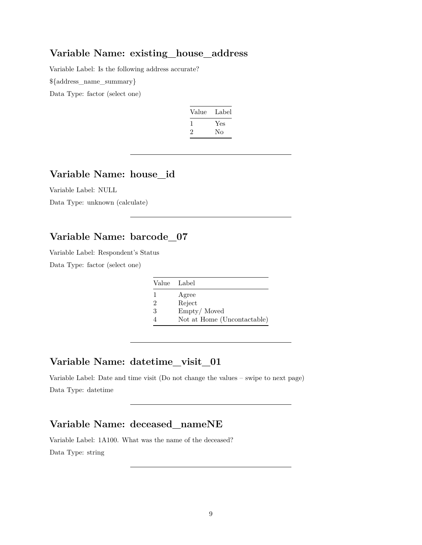#### **Variable Name: existing\_house\_address**

Variable Label: Is the following address accurate?

\${address\_name\_summary}

Data Type: factor (select one)

| Value | Label |
|-------|-------|
|       | Yes   |
| ۰,    | Nο    |

#### **Variable Name: house\_id**

Variable Label: NULL

Data Type: unknown (calculate)

## **Variable Name: barcode\_07**

Variable Label: Respondent's Status

Data Type: factor (select one)

| Value Label    |                             |
|----------------|-----------------------------|
|                | Agree                       |
| $\mathfrak{D}$ | Reject                      |
| 3              | Empty/Moved                 |
|                | Not at Home (Uncontactable) |

## **Variable Name: datetime\_visit\_01**

Variable Label: Date and time visit (Do not change the values – swipe to next page) Data Type: datetime

#### **Variable Name: deceased\_nameNE**

Variable Label: 1A100. What was the name of the deceased? Data Type: string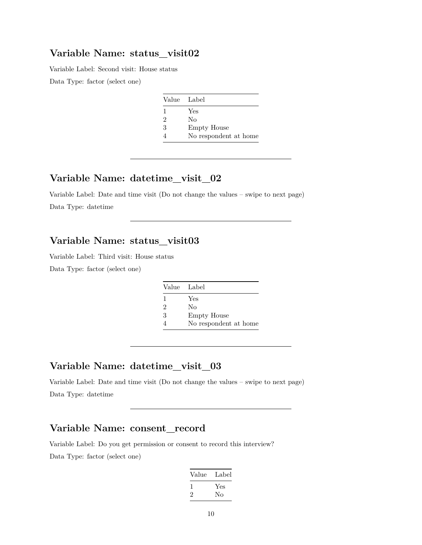### **Variable Name: status\_visit02**

Variable Label: Second visit: House status

Data Type: factor (select one)

| Value Label    |                       |
|----------------|-----------------------|
|                | Yes                   |
| $\overline{2}$ | Nο                    |
| 3              | <b>Empty House</b>    |
|                | No respondent at home |

#### **Variable Name: datetime\_visit\_02**

Variable Label: Date and time visit (Do not change the values – swipe to next page) Data Type: datetime

## **Variable Name: status\_visit03**

Variable Label: Third visit: House status

Data Type: factor (select one)

| Value Label |                       |
|-------------|-----------------------|
| 1           | Yes                   |
| 2           | No                    |
| 3           | <b>Empty House</b>    |
| 4           | No respondent at home |

#### **Variable Name: datetime\_visit\_03**

Variable Label: Date and time visit (Do not change the values – swipe to next page) Data Type: datetime

## **Variable Name: consent\_record**

Variable Label: Do you get permission or consent to record this interview? Data Type: factor (select one)

| Value | Label |
|-------|-------|
|       | Yes   |
| ۰,    | Nο    |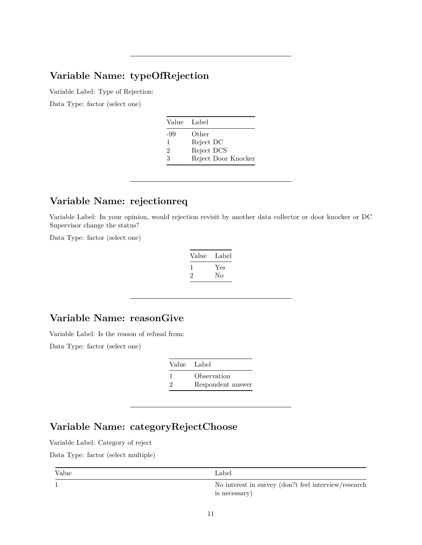## **Variable Name: typeOfRejection**

Variable Label: Type of Rejection:

Data Type: factor (select one)

| Value | Label               |
|-------|---------------------|
| -99   | Other               |
| 1     | Reject DC           |
| 2     | Reject DCS          |
| 3     | Reject Door Knocker |

## **Variable Name: rejectionreq**

Variable Label: In your opinion, would rejection revisit by another data collector or door knocker or DC Supervisor change the status?

Data Type: factor (select one)

| Value        | Label |
|--------------|-------|
| $\mathbf{I}$ | Yes   |
| $\mathbf{z}$ | No    |

## **Variable Name: reasonGive**

Variable Label: Is the reason of refusal from:

Data Type: factor (select one)

|   | Value Label       |
|---|-------------------|
|   | Observation       |
| 2 | Respondent answer |

## **Variable Name: categoryRejectChoose**

Variable Label: Category of reject

Data Type: factor (select multiple)

| Value | Label                                                                  |
|-------|------------------------------------------------------------------------|
|       | No interest in survey (don?t feel interview/research)<br>is necessary) |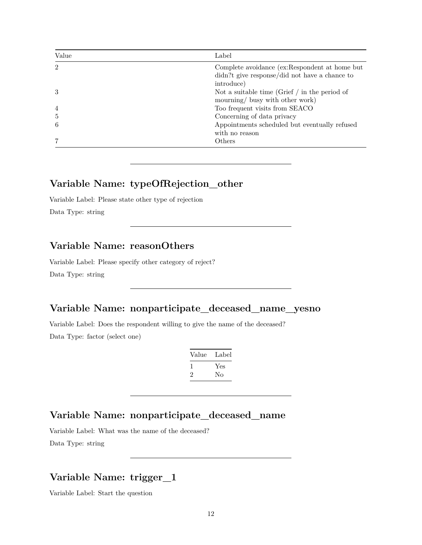| Value           | Label                                                                                                        |
|-----------------|--------------------------------------------------------------------------------------------------------------|
| $\mathfrak{D}$  | Complete avoidance (ex:Respondent at home but<br>didn?t give response/did not have a chance to<br>introduce) |
| 3               | Not a suitable time (Grief $/$ in the period of<br>mourning/ busy with other work)                           |
| $\overline{4}$  | Too frequent visits from SEACO                                                                               |
| $5\overline{)}$ | Concerning of data privacy                                                                                   |
| 6               | Appointments scheduled but eventually refused<br>with no reason                                              |
|                 | Others                                                                                                       |

## **Variable Name: typeOfRejection\_other**

Variable Label: Please state other type of rejection Data Type: string

#### **Variable Name: reasonOthers**

Variable Label: Please specify other category of reject?

Data Type: string

## **Variable Name: nonparticipate\_deceased\_name\_yesno**

Variable Label: Does the respondent willing to give the name of the deceased? Data Type: factor (select one)

| Value | Label |
|-------|-------|
| L     | Yes   |
| '2    | Nο    |

## **Variable Name: nonparticipate\_deceased\_name**

Variable Label: What was the name of the deceased?

Data Type: string

## **Variable Name: trigger\_1**

Variable Label: Start the question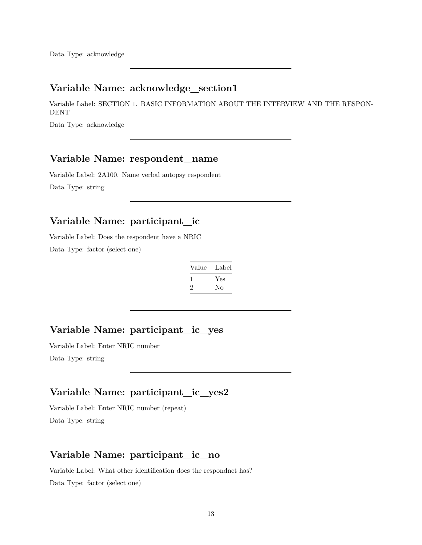Data Type: acknowledge

## **Variable Name: acknowledge\_section1**

Variable Label: SECTION 1. BASIC INFORMATION ABOUT THE INTERVIEW AND THE RESPON-DENT

Data Type: acknowledge

#### **Variable Name: respondent\_name**

Variable Label: 2A100. Name verbal autopsy respondent Data Type: string

## **Variable Name: participant\_ic**

Variable Label: Does the respondent have a NRIC Data Type: factor (select one)

| Value        | Label |
|--------------|-------|
| $\mathbf{I}$ | Yes   |
| $\cdot$      | No    |

## **Variable Name: participant\_ic\_yes**

Variable Label: Enter NRIC number Data Type: string

#### **Variable Name: participant\_ic\_yes2**

Variable Label: Enter NRIC number (repeat) Data Type: string

#### **Variable Name: participant\_ic\_no**

Variable Label: What other identification does the respondnet has? Data Type: factor (select one)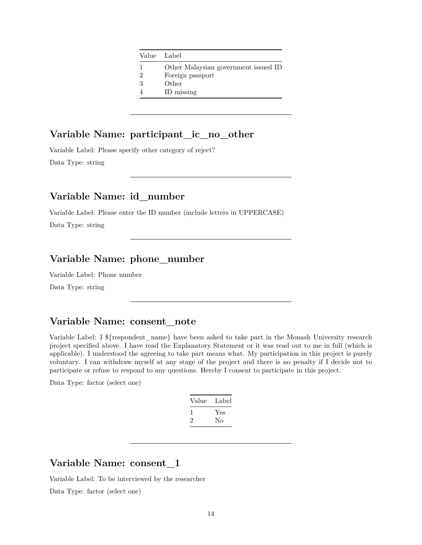| Value Label                 |                                      |
|-----------------------------|--------------------------------------|
|                             | Other Malaysian government issued ID |
| $\mathcal{D}_{\mathcal{L}}$ | Foreign passport                     |
| 3                           | Other                                |
|                             | ID missing                           |

## **Variable Name: participant\_ic\_no\_other**

Variable Label: Please specify other category of reject? Data Type: string

#### **Variable Name: id\_number**

Variable Label: Please enter the ID number (include letters in UPPERCASE)

Data Type: string

## **Variable Name: phone\_number**

Variable Label: Phone number

Data Type: string

#### **Variable Name: consent\_note**

Variable Label: I \${respondent\_name} have been asked to take part in the Monash University research project specified above. I have read the Explanatory Statement or it was read out to me in full (which is applicable). I understood the agreeing to take part means what. My participation in this project is purely voluntary. I can withdraw myself at any stage of the project and there is no penalty if I decide not to participate or refuse to respond to any questions. Hereby I consent to participate in this project.

Data Type: factor (select one)

| Value | Label |
|-------|-------|
|       | Yes   |
| ۰,    | Nο    |

#### **Variable Name: consent\_1**

Variable Label: To be interviewed by the researcher

Data Type: factor (select one)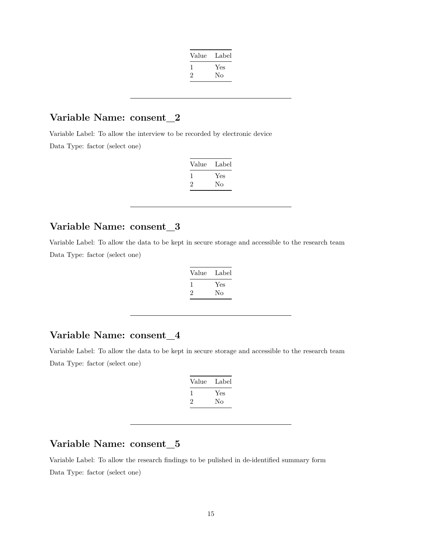| Value | Label |
|-------|-------|
|       | Yes   |
| ν.    | No    |
|       |       |

## **Variable Name: consent\_2**

Variable Label: To allow the interview to be recorded by electronic device Data Type: factor (select one)

| Value | Label |
|-------|-------|
|       | Yes   |
| ۰,    | Nο    |

## **Variable Name: consent\_3**

Variable Label: To allow the data to be kept in secure storage and accessible to the research team Data Type: factor (select one)

| Value | Label |
|-------|-------|
|       | Yes   |
| ۰,    | Nο    |

#### **Variable Name: consent\_4**

Variable Label: To allow the data to be kept in secure storage and accessible to the research team Data Type: factor (select one)

| Value    | Label |
|----------|-------|
| <b>I</b> | Yes   |
| ۰,       | Nο    |

## **Variable Name: consent\_5**

Variable Label: To allow the research findings to be pulished in de-identified summary form Data Type: factor (select one)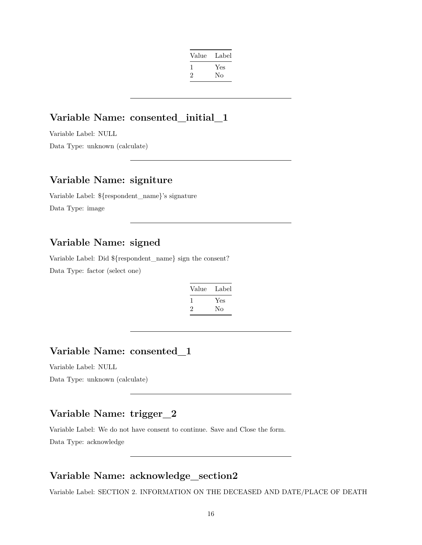| Value | Label |
|-------|-------|
| 1     | Yes   |
| '2    | Nο    |
|       |       |

## **Variable Name: consented\_initial\_1**

Variable Label: NULL Data Type: unknown (calculate)

#### **Variable Name: signiture**

Variable Label: \${respondent\_name}'s signature Data Type: image

## **Variable Name: signed**

Variable Label: Did \${respondent\_name} sign the consent? Data Type: factor (select one)

| Value | Label |
|-------|-------|
|       | Yes   |
| '2    | Nο    |

## **Variable Name: consented\_1**

Variable Label: NULL

Data Type: unknown (calculate)

## **Variable Name: trigger\_2**

Variable Label: We do not have consent to continue. Save and Close the form. Data Type: acknowledge

## **Variable Name: acknowledge\_section2**

Variable Label: SECTION 2. INFORMATION ON THE DECEASED AND DATE/PLACE OF DEATH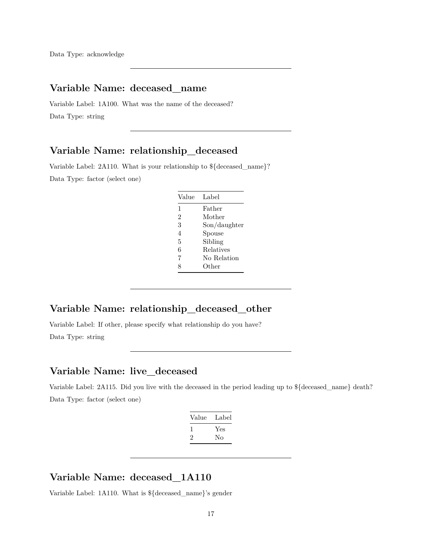## **Variable Name: deceased\_name**

Variable Label: 1A100. What was the name of the deceased? Data Type: string

#### **Variable Name: relationship\_deceased**

Variable Label: 2A110. What is your relationship to \${deceased\_name}? Data Type: factor (select one)

| Value          | Label        |
|----------------|--------------|
| 1              | Father       |
| $\overline{2}$ | Mother       |
| 3              | Son/daughter |
| 4              | Spouse       |
| 5              | Sibling      |
| 6              | Relatives    |
| 7              | No Relation  |
| 8              | Other        |
|                |              |

## **Variable Name: relationship\_deceased\_other**

Variable Label: If other, please specify what relationship do you have? Data Type: string

#### **Variable Name: live\_deceased**

Variable Label: 2A115. Did you live with the deceased in the period leading up to \${deceased\_name} death? Data Type: factor (select one)

| Value | Label |
|-------|-------|
| -1    | Yes   |
| '2    | Nο    |
|       |       |

#### **Variable Name: deceased\_1A110**

Variable Label: 1A110. What is \${deceased\_name}'s gender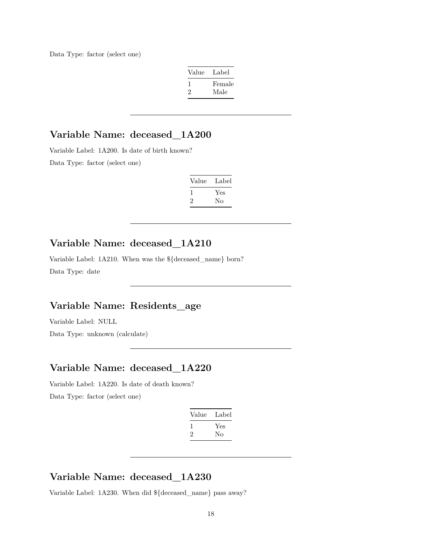Data Type: factor (select one)

| Value   | Label  |
|---------|--------|
| -1      | Female |
| $\cdot$ | Male   |

## **Variable Name: deceased\_1A200**

Variable Label: 1A200. Is date of birth known?

Data Type: factor (select one)

| Value | Label     |
|-------|-----------|
|       | Yes<br>Nο |

## **Variable Name: deceased\_1A210**

Variable Label: 1A210. When was the \${deceased\_name} born? Data Type: date

## **Variable Name: Residents\_age**

Variable Label: NULL

Data Type: unknown (calculate)

#### **Variable Name: deceased\_1A220**

Variable Label: 1A220. Is date of death known? Data Type: factor (select one)

| Value | Label |
|-------|-------|
|       | Yes   |
| ۰,    | Nο    |
|       |       |

## **Variable Name: deceased\_1A230**

Variable Label: 1A230. When did \${deceased\_name} pass away?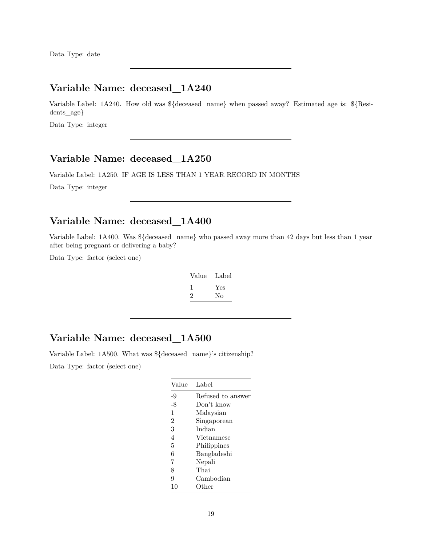## **Variable Name: deceased\_1A240**

Variable Label: 1A240. How old was \${deceased\_name} when passed away? Estimated age is: \${Residents\_age}

Data Type: integer

#### **Variable Name: deceased\_1A250**

Variable Label: 1A250. IF AGE IS LESS THAN 1 YEAR RECORD IN MONTHS

Data Type: integer

#### **Variable Name: deceased\_1A400**

Variable Label: 1A400. Was \${deceased\_name} who passed away more than 42 days but less than 1 year after being pregnant or delivering a baby?

Data Type: factor (select one)

| Value   | Label |
|---------|-------|
| 1       | Yes   |
| $\cdot$ | Nο    |

## **Variable Name: deceased\_1A500**

Variable Label: 1A500. What was \${deceased\_name}'s citizenship?

Data Type: factor (select one)

| Value          | Label             |
|----------------|-------------------|
| -9             | Refused to answer |
| -8             | Don't know        |
| 1              | Malaysian         |
| $\overline{2}$ | Singaporean       |
| 3              | Indian            |
| 4              | Vietnamese        |
| 5              | Philippines       |
| 6              | Bangladeshi       |
| 7              | Nepali            |
| 8              | Thai              |
| 9              | Cambodian         |
| 10             | Other             |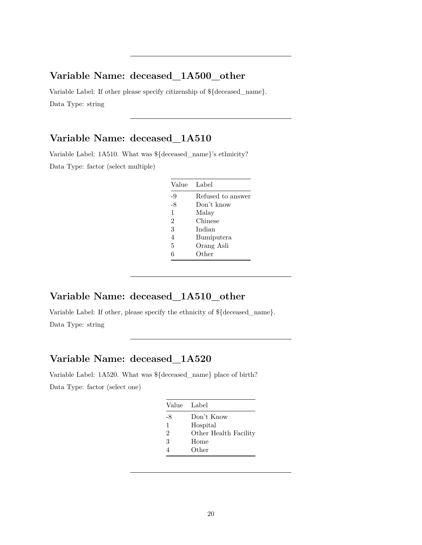## **Variable Name: deceased\_1A500\_other**

Variable Label: If other please specify citizenship of \${deceased\_name}. Data Type: string

## **Variable Name: deceased\_1A510**

Variable Label: 1A510. What was \${deceased\_name}'s ethnicity? Data Type: factor (select multiple)

| Label             |
|-------------------|
| Refused to answer |
| Don't know        |
| Malay             |
| Chinese           |
| Indian            |
| Bumiputera        |
| Orang Asli        |
| $\rm Other$       |
|                   |

## **Variable Name: deceased\_1A510\_other**

Variable Label: If other, please specify the ethnicity of \${deceased\_name}. Data Type: string

## **Variable Name: deceased\_1A520**

Variable Label: 1A520. What was \${deceased\_name} place of birth? Data Type: factor (select one)

| Value Label    |                       |
|----------------|-----------------------|
| -8             | Don't Know            |
| 1              | Hospital              |
| $\mathfrak{D}$ | Other Health Facility |
| 3              | Home                  |
|                | Other                 |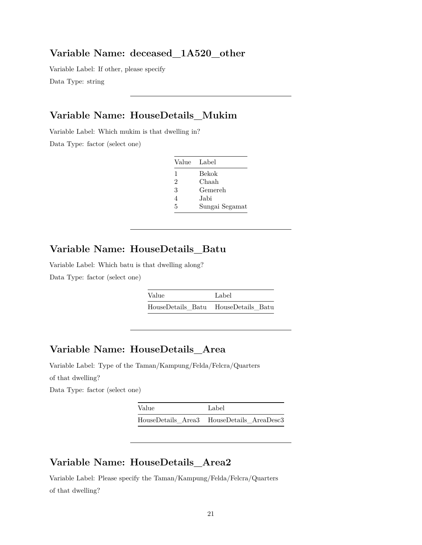#### **Variable Name: deceased\_1A520\_other**

Variable Label: If other, please specify Data Type: string

## **Variable Name: HouseDetails\_Mukim**

Variable Label: Which mukim is that dwelling in?

Data Type: factor (select one)

| Value Label |                |
|-------------|----------------|
| 1           | Bekok          |
| 2           | Chaah          |
| 3           | Gemereh        |
| 4           | Jabi           |
| 5           | Sungai Segamat |

## **Variable Name: HouseDetails\_Batu**

Variable Label: Which batu is that dwelling along? Data Type: factor (select one)

| Value | Label                               |
|-------|-------------------------------------|
|       | HouseDetails Batu HouseDetails Batu |

## **Variable Name: HouseDetails\_Area**

Variable Label: Type of the Taman/Kampung/Felda/Felcra/Quarters of that dwelling?

Data Type: factor (select one)

| Value | Label                                     |
|-------|-------------------------------------------|
|       | HouseDetails Area3 HouseDetails AreaDesc3 |

#### **Variable Name: HouseDetails\_Area2**

Variable Label: Please specify the Taman/Kampung/Felda/Felcra/Quarters of that dwelling?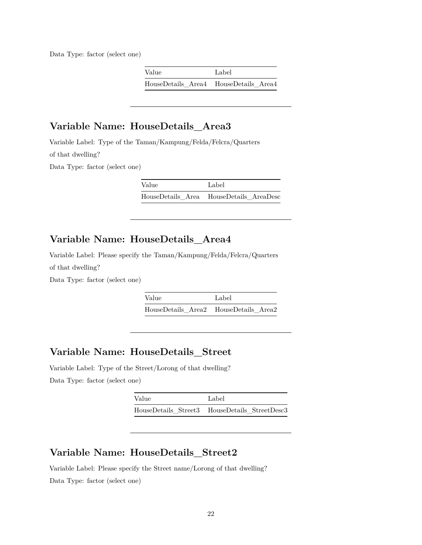Data Type: factor (select one)

| Value                                 | Label |
|---------------------------------------|-------|
| HouseDetails Area4 HouseDetails Area4 |       |

## **Variable Name: HouseDetails\_Area3**

Variable Label: Type of the Taman/Kampung/Felda/Felcra/Quarters of that dwelling?

Data Type: factor (select one)

Value Label HouseDetails\_Area HouseDetails\_AreaDesc

## **Variable Name: HouseDetails\_Area4**

Variable Label: Please specify the Taman/Kampung/Felda/Felcra/Quarters of that dwelling?

Data Type: factor (select one)

Value Label HouseDetails\_Area2 HouseDetails\_Area2

#### **Variable Name: HouseDetails\_Street**

Variable Label: Type of the Street/Lorong of that dwelling? Data Type: factor (select one)

| Value | Label                                         |
|-------|-----------------------------------------------|
|       | HouseDetails Street3 HouseDetails StreetDesc3 |

#### **Variable Name: HouseDetails\_Street2**

Variable Label: Please specify the Street name/Lorong of that dwelling? Data Type: factor (select one)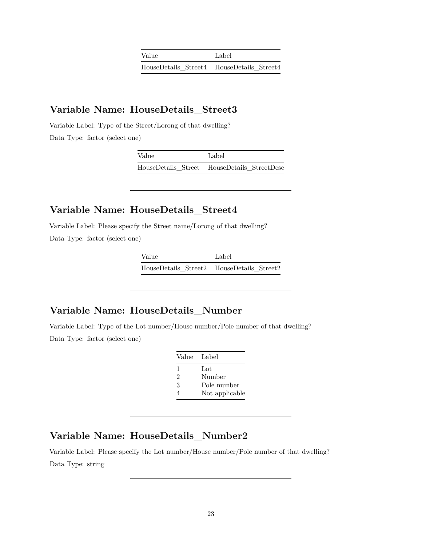| Value                                     | Label |
|-------------------------------------------|-------|
| HouseDetails Street4 HouseDetails Street4 |       |

#### **Variable Name: HouseDetails\_Street3**

Variable Label: Type of the Street/Lorong of that dwelling? Data Type: factor (select one)

| Value | Label                                       |
|-------|---------------------------------------------|
|       | HouseDetails Street HouseDetails StreetDesc |

#### **Variable Name: HouseDetails\_Street4**

Variable Label: Please specify the Street name/Lorong of that dwelling? Data Type: factor (select one)

| Value                                     | Label |
|-------------------------------------------|-------|
| HouseDetails Street2 HouseDetails Street2 |       |

#### **Variable Name: HouseDetails\_Number**

Variable Label: Type of the Lot number/House number/Pole number of that dwelling? Data Type: factor (select one)

| Value | - Label        |
|-------|----------------|
| 1     | Lot            |
| 2     | Number         |
| 3     | Pole number    |
|       | Not applicable |

## **Variable Name: HouseDetails\_Number2**

Variable Label: Please specify the Lot number/House number/Pole number of that dwelling? Data Type: string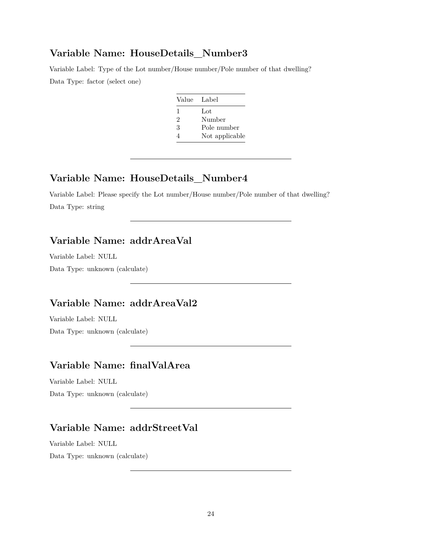#### **Variable Name: HouseDetails\_Number3**

Variable Label: Type of the Lot number/House number/Pole number of that dwelling? Data Type: factor (select one)

| Value Label |                |
|-------------|----------------|
| 1           | Lot            |
| 2           | Number         |
| 3           | Pole number    |
| 4           | Not applicable |

## **Variable Name: HouseDetails\_Number4**

Variable Label: Please specify the Lot number/House number/Pole number of that dwelling? Data Type: string

## **Variable Name: addrAreaVal**

Variable Label: NULL

Data Type: unknown (calculate)

## **Variable Name: addrAreaVal2**

Variable Label: NULL Data Type: unknown (calculate)

#### **Variable Name: finalValArea**

Variable Label: NULL Data Type: unknown (calculate)

#### **Variable Name: addrStreetVal**

Variable Label: NULL Data Type: unknown (calculate)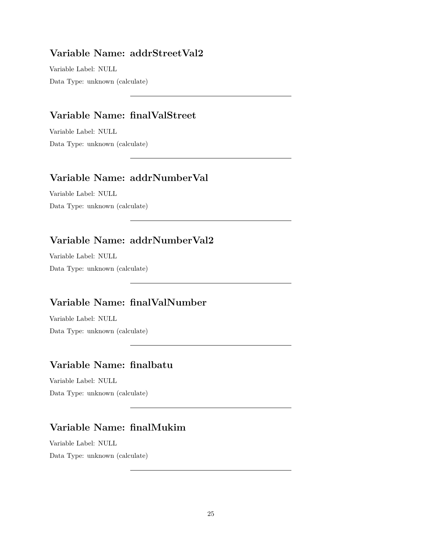## **Variable Name: addrStreetVal2**

Variable Label: NULL Data Type: unknown (calculate)

## **Variable Name: finalValStreet**

Variable Label: NULL Data Type: unknown (calculate)

## **Variable Name: addrNumberVal**

Variable Label: NULL Data Type: unknown (calculate)

## **Variable Name: addrNumberVal2**

Variable Label: NULL Data Type: unknown (calculate)

## **Variable Name: finalValNumber**

Variable Label: NULL Data Type: unknown (calculate)

#### **Variable Name: finalbatu**

Variable Label: NULL Data Type: unknown (calculate)

## **Variable Name: finalMukim**

Variable Label: NULL Data Type: unknown (calculate)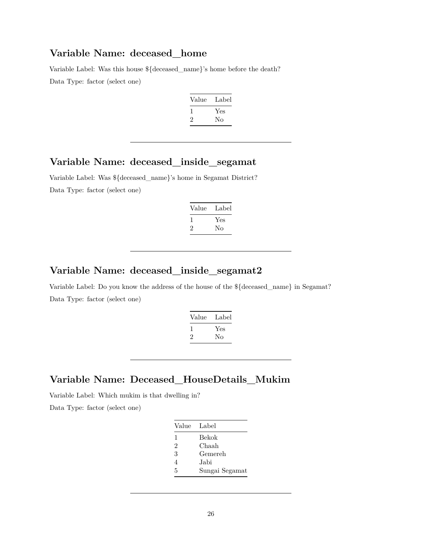#### **Variable Name: deceased\_home**

Variable Label: Was this house \${deceased\_name}'s home before the death?

Data Type: factor (select one)

| Value | Label |
|-------|-------|
|       | Yes   |
| '2    | Nο    |

#### **Variable Name: deceased\_inside\_segamat**

Variable Label: Was \${deceased\_name}'s home in Segamat District? Data Type: factor (select one)

| Value   | Label |
|---------|-------|
| 1       | Yes   |
| $\cdot$ | Nο    |

#### **Variable Name: deceased\_inside\_segamat2**

Variable Label: Do you know the address of the house of the \${deceased\_name} in Segamat? Data Type: factor (select one)

| Value | Label |
|-------|-------|
|       | Yes   |
| 2     | Nο    |
|       |       |

#### **Variable Name: Deceased\_HouseDetails\_Mukim**

Variable Label: Which mukim is that dwelling in?

Data Type: factor (select one)

| Value | Label          |
|-------|----------------|
| 1     | Bekok          |
| 2     | Chaah          |
| 3     | Gemereh        |
| 4     | Jabi           |
| 5     | Sungai Segamat |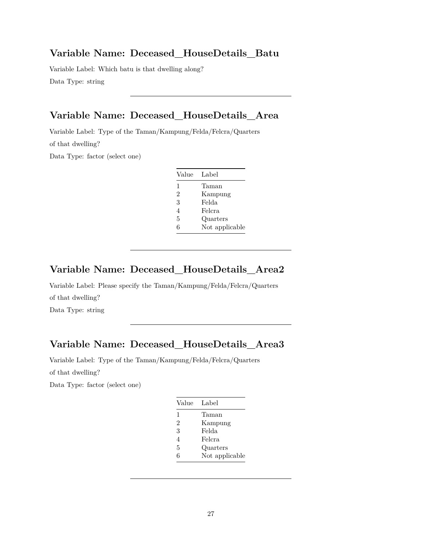#### **Variable Name: Deceased\_HouseDetails\_Batu**

Variable Label: Which batu is that dwelling along? Data Type: string

## **Variable Name: Deceased\_HouseDetails\_Area**

Variable Label: Type of the Taman/Kampung/Felda/Felcra/Quarters of that dwelling?

Data Type: factor (select one)

| Value          | Label          |
|----------------|----------------|
| 1              | Taman          |
| $\overline{2}$ | Kampung        |
| 3              | Felda          |
| 4              | Felcra         |
| 5              | Quarters       |
| 6              | Not applicable |

#### **Variable Name: Deceased\_HouseDetails\_Area2**

Variable Label: Please specify the Taman/Kampung/Felda/Felcra/Quarters of that dwelling? Data Type: string

## **Variable Name: Deceased\_HouseDetails\_Area3**

Variable Label: Type of the Taman/Kampung/Felda/Felcra/Quarters

of that dwelling?

Data Type: factor (select one)

| Value          | Label          |
|----------------|----------------|
| 1              | Taman          |
| $\overline{2}$ | Kampung        |
| 3              | Felda          |
| 4              | Felcra         |
| 5              | Quarters       |
| 6              | Not applicable |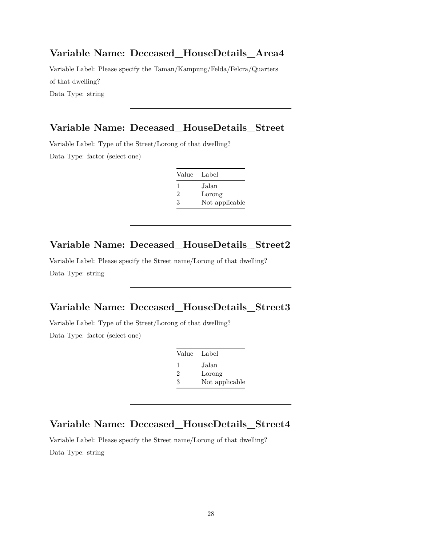#### **Variable Name: Deceased\_HouseDetails\_Area4**

Variable Label: Please specify the Taman/Kampung/Felda/Felcra/Quarters of that dwelling? Data Type: string

#### **Variable Name: Deceased\_HouseDetails\_Street**

Variable Label: Type of the Street/Lorong of that dwelling? Data Type: factor (select one)

| Value Label  |                |
|--------------|----------------|
| $\mathbf{I}$ | Jalan          |
| 2            | Lorong         |
| 3            | Not applicable |

## **Variable Name: Deceased\_HouseDetails\_Street2**

Variable Label: Please specify the Street name/Lorong of that dwelling? Data Type: string

#### **Variable Name: Deceased\_HouseDetails\_Street3**

Variable Label: Type of the Street/Lorong of that dwelling? Data Type: factor (select one)

| Value          | - Label        |
|----------------|----------------|
| $\mathbf{I}$   | Jalan          |
| $\mathfrak{D}$ | Lorong         |
| 3              | Not applicable |

#### **Variable Name: Deceased\_HouseDetails\_Street4**

Variable Label: Please specify the Street name/Lorong of that dwelling? Data Type: string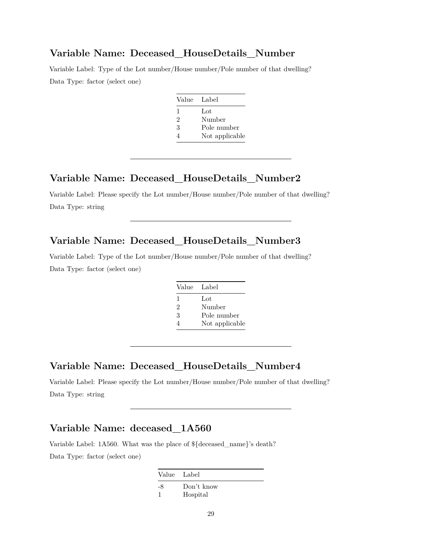#### **Variable Name: Deceased\_HouseDetails\_Number**

Variable Label: Type of the Lot number/House number/Pole number of that dwelling? Data Type: factor (select one)

| Value Label |                |
|-------------|----------------|
| 1           | Lot            |
| 2           | Number         |
| 3           | Pole number    |
|             | Not applicable |

#### **Variable Name: Deceased\_HouseDetails\_Number2**

Variable Label: Please specify the Lot number/House number/Pole number of that dwelling? Data Type: string

#### **Variable Name: Deceased\_HouseDetails\_Number3**

Variable Label: Type of the Lot number/House number/Pole number of that dwelling? Data Type: factor (select one)

| Value Label    |                |
|----------------|----------------|
| 1              | Lot            |
| $\mathfrak{D}$ | Number         |
| 3              | Pole number    |
| 4              | Not applicable |

#### **Variable Name: Deceased\_HouseDetails\_Number4**

Variable Label: Please specify the Lot number/House number/Pole number of that dwelling? Data Type: string

## **Variable Name: deceased\_1A560**

Variable Label: 1A560. What was the place of \${deceased\_name}'s death? Data Type: factor (select one)

> Value Label -8 Don't know 1 Hospital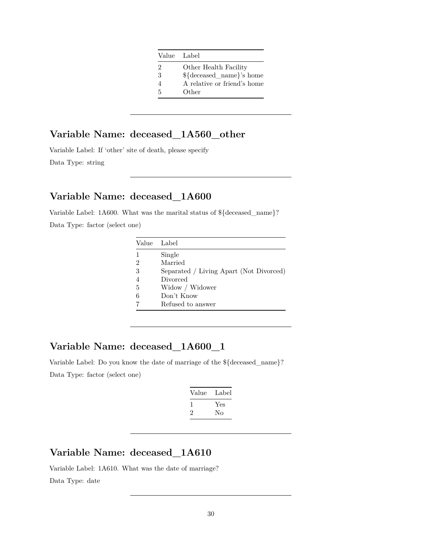|   | Value Label                 |
|---|-----------------------------|
| 2 | Other Health Facility       |
| 3 | \${deceased_name}'s home    |
| 4 | A relative or friend's home |
| 5 | Other                       |

## **Variable Name: deceased\_1A560\_other**

Variable Label: If 'other' site of death, please specify Data Type: string

## **Variable Name: deceased\_1A600**

Variable Label: 1A600. What was the marital status of \${deceased\_name}? Data Type: factor (select one)

| Value | Label                                   |
|-------|-----------------------------------------|
|       | Single                                  |
| 2     | Married                                 |
| 3     | Separated / Living Apart (Not Divorced) |
|       | Divorced                                |
| 5     | Widow / Widower                         |
| 6     | Don't Know                              |
|       | Refused to answer                       |

## **Variable Name: deceased\_1A600\_1**

Variable Label: Do you know the date of marriage of the \${deceased\_name}? Data Type: factor (select one)

| Label |
|-------|
| Yes   |
| Nο    |
|       |

## **Variable Name: deceased\_1A610**

Variable Label: 1A610. What was the date of marriage? Data Type: date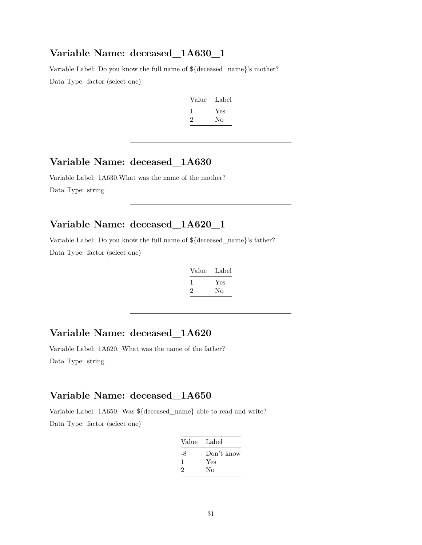#### **Variable Name: deceased\_1A630\_1**

Variable Label: Do you know the full name of \${deceased\_name}'s mother? Data Type: factor (select one)

| Label |
|-------|
| Yes   |
| Nο    |
|       |

## **Variable Name: deceased\_1A630**

Variable Label: 1A630.What was the name of the mother? Data Type: string

## **Variable Name: deceased\_1A620\_1**

Variable Label: Do you know the full name of \${deceased\_name}'s father? Data Type: factor (select one)

| Value | Label |
|-------|-------|
|       | Yes   |
| 2     | Nο    |

## **Variable Name: deceased\_1A620**

Variable Label: 1A620. What was the name of the father? Data Type: string

## **Variable Name: deceased\_1A650**

Variable Label: 1A650. Was \${deceased\_name} able to read and write? Data Type: factor (select one)

| Value Label |
|-------------|
| Don't know  |
| Yes         |
| Nο          |
|             |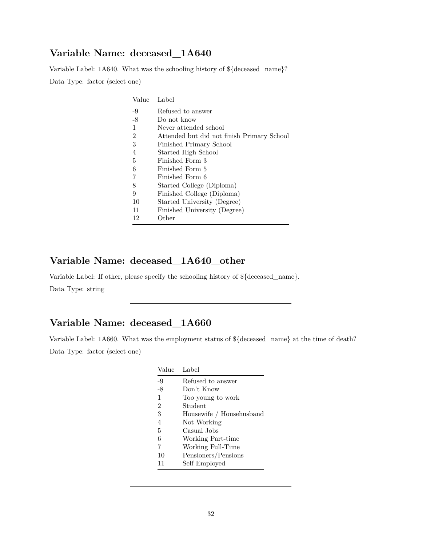## **Variable Name: deceased\_1A640**

Variable Label: 1A640. What was the schooling history of \${deceased\_name}? Data Type: factor (select one)

| Value          | Label                                      |
|----------------|--------------------------------------------|
| $-9$           | Refused to answer                          |
| $-8$           | Do not know                                |
| $\mathbf{1}$   | Never attended school                      |
| $\overline{2}$ | Attended but did not finish Primary School |
| 3              | Finished Primary School                    |
| $\overline{4}$ | Started High School                        |
| 5              | Finished Form 3                            |
| 6              | Finished Form 5                            |
| 7              | Finished Form 6                            |
| 8              | Started College (Diploma)                  |
| 9              | Finished College (Diploma)                 |
| 10             | Started University (Degree)                |
| 11             | Finished University (Degree)               |
| 12             | Other                                      |

## **Variable Name: deceased\_1A640\_other**

Variable Label: If other, please specify the schooling history of \${deceased\_name}. Data Type: string

## **Variable Name: deceased\_1A660**

Variable Label: 1A660. What was the employment status of \${deceased\_name} at the time of death? Data Type: factor (select one)

| Value Label    |                          |
|----------------|--------------------------|
| -9             | Refused to answer        |
| -8             | Don't Know               |
| $\mathbf{1}$   | Too young to work        |
| $\overline{2}$ | Student                  |
| 3              | Housewife / Househusband |
| 4              | Not Working              |
| 5              | Casual Jobs              |
| 6              | Working Part-time        |
| 7              | Working Full-Time        |
| 10             | Pensioners/Pensions      |
| 11             | Self Employed            |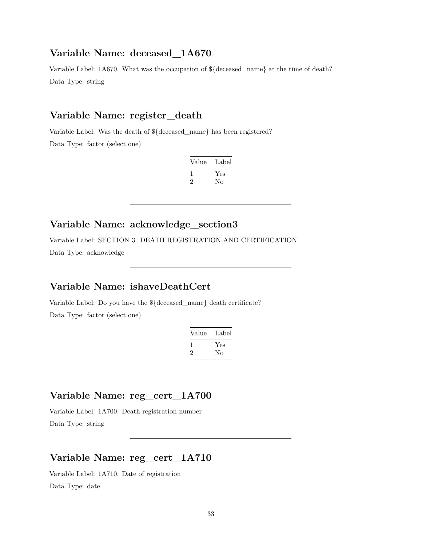#### **Variable Name: deceased\_1A670**

Variable Label: 1A670. What was the occupation of \${deceased\_name} at the time of death? Data Type: string

## **Variable Name: register\_death**

Variable Label: Was the death of \${deceased\_name} has been registered? Data Type: factor (select one)

| Value | Label |
|-------|-------|
| L     | Yes   |
| ۰,    | Nο    |

## **Variable Name: acknowledge\_section3**

Variable Label: SECTION 3. DEATH REGISTRATION AND CERTIFICATION Data Type: acknowledge

#### **Variable Name: ishaveDeathCert**

Variable Label: Do you have the \${deceased\_name} death certificate? Data Type: factor (select one)

| Value        | Label |
|--------------|-------|
| $\mathbf{I}$ | Yes   |
| $\cdot$      | Nο    |

## **Variable Name: reg\_cert\_1A700**

Variable Label: 1A700. Death registration number Data Type: string

#### **Variable Name: reg\_cert\_1A710**

Variable Label: 1A710. Date of registration Data Type: date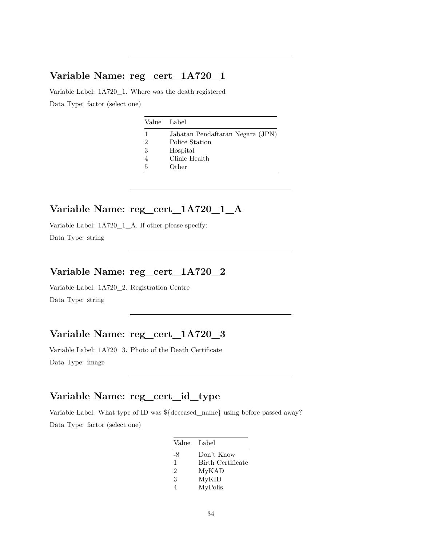## **Variable Name: reg\_cert\_1A720\_1**

Variable Label: 1A720\_1. Where was the death registered Data Type: factor (select one)

|   | Value Label                      |
|---|----------------------------------|
| 1 | Jabatan Pendaftaran Negara (JPN) |
| 2 | Police Station                   |
| 3 | Hospital                         |
|   | Clinic Health                    |
| 5 | Other                            |
|   |                                  |

## **Variable Name: reg\_cert\_1A720\_1\_A**

Variable Label: 1A720\_1\_A. If other please specify: Data Type: string

## **Variable Name: reg\_cert\_1A720\_2**

Variable Label: 1A720\_2. Registration Centre Data Type: string

## **Variable Name: reg\_cert\_1A720\_3**

Variable Label: 1A720\_3. Photo of the Death Certificate Data Type: image

## **Variable Name: reg\_cert\_id\_type**

Variable Label: What type of ID was \${deceased\_name} using before passed away? Data Type: factor (select one)

| Value          | Label             |
|----------------|-------------------|
| -8             | Don't Know        |
| 1              | Birth Certificate |
| $\overline{2}$ | MyKAD             |
| 3              | MyKID             |
|                | MyPolis           |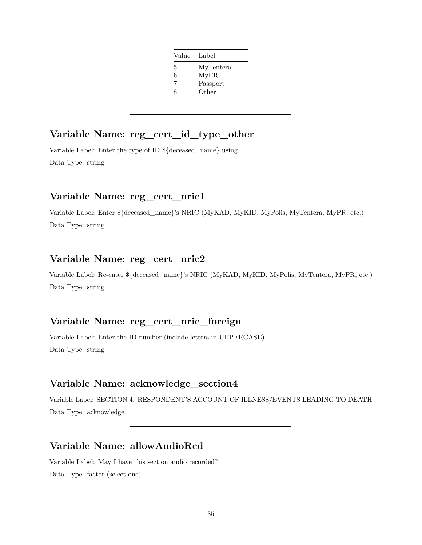| Value | Label     |
|-------|-----------|
| 5     | MyTentera |
| 6     | MyPR      |
| 7     | Passport  |
| 8     | Other     |

## **Variable Name: reg\_cert\_id\_type\_other**

Variable Label: Enter the type of ID \${deceased\_name} using. Data Type: string

#### **Variable Name: reg\_cert\_nric1**

Variable Label: Enter \${deceased\_name}'s NRIC (MyKAD, MyKID, MyPolis, MyTentera, MyPR, etc.) Data Type: string

## **Variable Name: reg\_cert\_nric2**

Variable Label: Re-enter \${deceased\_name}'s NRIC (MyKAD, MyKID, MyPolis, MyTentera, MyPR, etc.) Data Type: string

#### **Variable Name: reg\_cert\_nric\_foreign**

Variable Label: Enter the ID number (include letters in UPPERCASE) Data Type: string

## **Variable Name: acknowledge\_section4**

Variable Label: SECTION 4. RESPONDENT'S ACCOUNT OF ILLNESS/EVENTS LEADING TO DEATH Data Type: acknowledge

#### **Variable Name: allowAudioRcd**

Variable Label: May I have this section audio recorded? Data Type: factor (select one)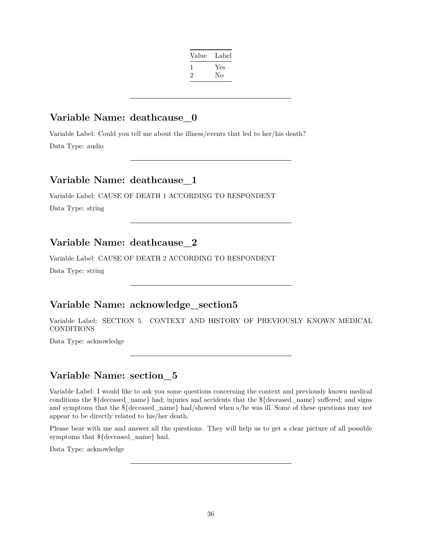| Value        | Label |
|--------------|-------|
| $\mathbf{I}$ | Yes   |
| ۰,           | No    |
|              |       |

#### **Variable Name: deathcause\_0**

Variable Label: Could you tell me about the illness/events that led to her/his death? Data Type: audio

#### **Variable Name: deathcause\_1**

Variable Label: CAUSE OF DEATH 1 ACCORDING TO RESPONDENT

Data Type: string

## **Variable Name: deathcause\_2**

Variable Label: CAUSE OF DEATH 2 ACCORDING TO RESPONDENT

Data Type: string

#### **Variable Name: acknowledge\_section5**

Variable Label: SECTION 5. CONTEXT AND HISTORY OF PREVIOUSLY KNOWN MEDICAL CONDITIONS

Data Type: acknowledge

#### **Variable Name: section\_5**

Variable Label: I would like to ask you some questions concerning the context and previously known medical conditions the \${deceased\_name} had; injuries and accidents that the \${deceased\_name} suffered; and signs and symptoms that the \${deceased\_name} had/showed when s/he was ill. Some of these questions may not appear to be directly related to his/her death.

Please bear with me and answer all the questions. They will help us to get a clear picture of all possible symptoms that \${deceased\_name} had.

Data Type: acknowledge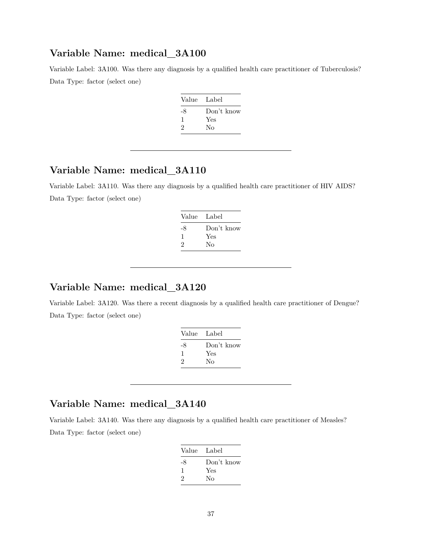Variable Label: 3A100. Was there any diagnosis by a qualified health care practitioner of Tuberculosis? Data Type: factor (select one)

| Value Label |            |
|-------------|------------|
| -8          | Don't know |
| -1          | Yes        |
| 2           | No         |
|             |            |

# **Variable Name: medical\_3A110**

Variable Label: 3A110. Was there any diagnosis by a qualified health care practitioner of HIV AIDS? Data Type: factor (select one)

| Value Label |            |
|-------------|------------|
| -8          | Don't know |
| 1           | Yes        |
| 2           | Nο         |
|             |            |

# **Variable Name: medical\_3A120**

Variable Label: 3A120. Was there a recent diagnosis by a qualified health care practitioner of Dengue? Data Type: factor (select one)

| Don't know |
|------------|
| Yes        |
| Nο         |
|            |

### **Variable Name: medical\_3A140**

Variable Label: 3A140. Was there any diagnosis by a qualified health care practitioner of Measles? Data Type: factor (select one)

| Value Label |    |
|-------------|----|
| Don't know  | -8 |
| Yes         | ı. |
| Nο          | 2  |
|             |    |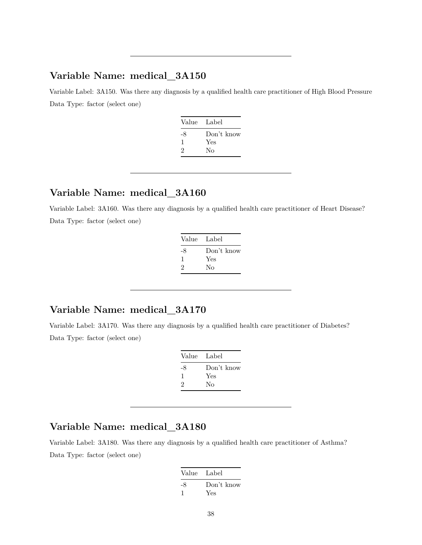Variable Label: 3A150. Was there any diagnosis by a qualified health care practitioner of High Blood Pressure Data Type: factor (select one)

| Value | Label      |
|-------|------------|
| -8    | Don't know |
| -1    | Yes        |
| 2     | Nο         |
|       |            |

#### **Variable Name: medical\_3A160**

Variable Label: 3A160. Was there any diagnosis by a qualified health care practitioner of Heart Disease? Data Type: factor (select one)

| Value Label |            |
|-------------|------------|
| -8          | Don't know |
| 1           | Yes        |
| 2           | Nο         |
|             |            |

# **Variable Name: medical\_3A170**

Variable Label: 3A170. Was there any diagnosis by a qualified health care practitioner of Diabetes? Data Type: factor (select one)

| Value Label |            |
|-------------|------------|
| -8          | Don't know |
| ı           | Yes        |
| 2           | No         |

# **Variable Name: medical\_3A180**

Variable Label: 3A180. Was there any diagnosis by a qualified health care practitioner of Asthma? Data Type: factor (select one)

| Value Label |            |
|-------------|------------|
| -8          | Don't know |
|             | Yes        |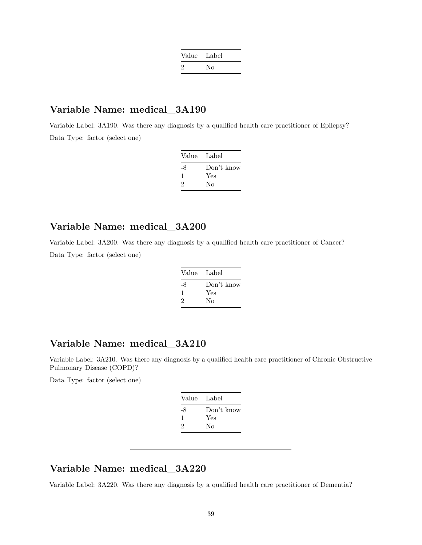| Value Label |    |
|-------------|----|
| ٠,          | Nο |

Variable Label: 3A190. Was there any diagnosis by a qualified health care practitioner of Epilepsy? Data Type: factor (select one)

| Label      |
|------------|
| Don't know |
| Yes        |
| Nο         |
|            |

# **Variable Name: medical\_3A200**

Variable Label: 3A200. Was there any diagnosis by a qualified health care practitioner of Cancer? Data Type: factor (select one)

| Value Label |            |
|-------------|------------|
| -8          | Don't know |
| -1          | Yes        |
| 2           | Nο         |
|             |            |

# **Variable Name: medical\_3A210**

Variable Label: 3A210. Was there any diagnosis by a qualified health care practitioner of Chronic Obstructive Pulmonary Disease (COPD)?

Data Type: factor (select one)

| Value Label |            |
|-------------|------------|
| -8          | Don't know |
| 1           | Yes        |
| 2           | Nο         |
|             |            |

# **Variable Name: medical\_3A220**

Variable Label: 3A220. Was there any diagnosis by a qualified health care practitioner of Dementia?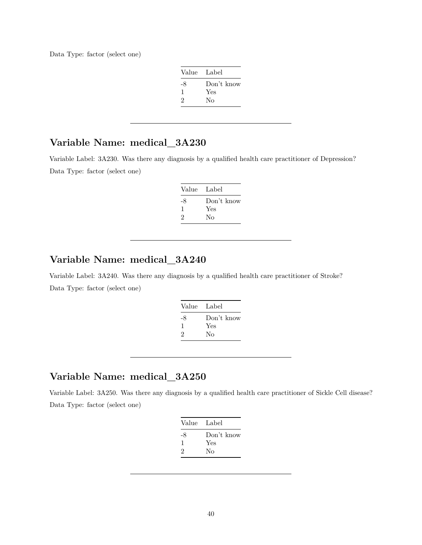Data Type: factor (select one)

| Value Label |            |
|-------------|------------|
| -8          | Don't know |
| 1           | Yes        |
| 2           | Nο         |

# **Variable Name: medical\_3A230**

Variable Label: 3A230. Was there any diagnosis by a qualified health care practitioner of Depression? Data Type: factor (select one)

| Value Label |            |
|-------------|------------|
| -8          | Don't know |
| ı           | Yes        |
| 2           | Nο         |

# **Variable Name: medical\_3A240**

Variable Label: 3A240. Was there any diagnosis by a qualified health care practitioner of Stroke? Data Type: factor (select one)

| Value | Label      |
|-------|------------|
| -8    | Don't know |
| 1     | Yes        |
| 2     | No         |
|       |            |

### **Variable Name: medical\_3A250**

Variable Label: 3A250. Was there any diagnosis by a qualified health care practitioner of Sickle Cell disease? Data Type: factor (select one)

|    | Value Label |
|----|-------------|
| -8 | Don't know  |
| ı  | Yes         |
| 2  | Nο          |
|    |             |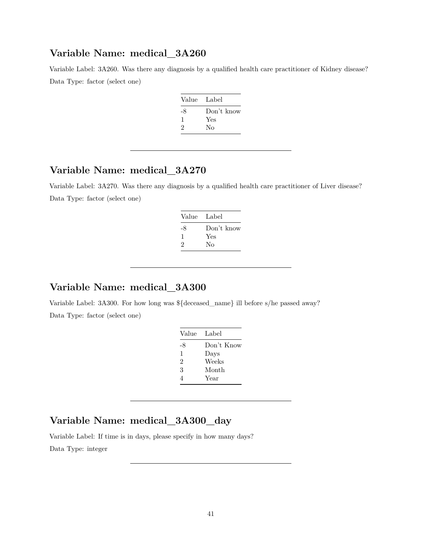Variable Label: 3A260. Was there any diagnosis by a qualified health care practitioner of Kidney disease? Data Type: factor (select one)

| Value Label |            |
|-------------|------------|
| -8          | Don't know |
| -1          | Yes        |
| 2           | No         |
|             |            |

# **Variable Name: medical\_3A270**

Variable Label: 3A270. Was there any diagnosis by a qualified health care practitioner of Liver disease? Data Type: factor (select one)

| Value | Label      |
|-------|------------|
| -8    | Don't know |
| 1     | Yes        |
| 2     | Nο         |
|       |            |

## **Variable Name: medical\_3A300**

Variable Label: 3A300. For how long was \${deceased\_name} ill before s/he passed away? Data Type: factor (select one)

| Value | Label      |
|-------|------------|
| -8    | Don't Know |
| 1     | Days       |
| 2     | Weeks      |
| 3     | Month      |
| 4     | Year       |
|       |            |

# **Variable Name: medical\_3A300\_day**

Variable Label: If time is in days, please specify in how many days?

Data Type: integer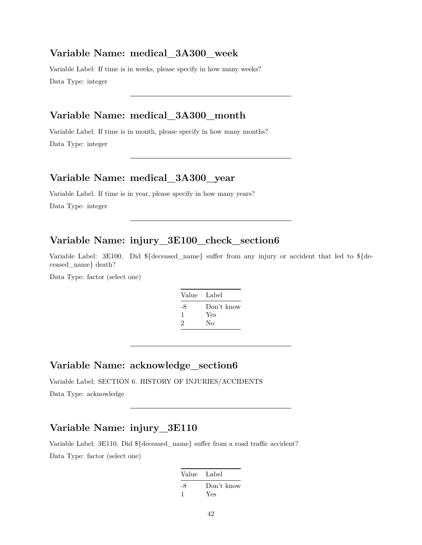#### **Variable Name: medical\_3A300\_week**

Variable Label: If time is in weeks, please specify in how many weeks? Data Type: integer

# **Variable Name: medical\_3A300\_month**

Variable Label: If time is in month, please specify in how many months? Data Type: integer

#### **Variable Name: medical\_3A300\_year**

Variable Label: If time is in year, please specify in how many years?

Data Type: integer

# **Variable Name: injury\_3E100\_check\_section6**

Variable Label: 3E100. Did \${deceased\_name} suffer from any injury or accident that led to \${deceased\_name} death?

Data Type: factor (select one)

| Value Label |            |
|-------------|------------|
| -8          | Don't know |
| 1           | Yes        |
| 2           | No         |

#### **Variable Name: acknowledge\_section6**

Variable Label: SECTION 6. HISTORY OF INJURIES/ACCIDENTS

Data Type: acknowledge

#### **Variable Name: injury\_3E110**

Variable Label: 3E110. Did \${deceased\_name} suffer from a road traffic accident? Data Type: factor (select one)

| Value Label |                   |
|-------------|-------------------|
| -8          | Don't know<br>Yes |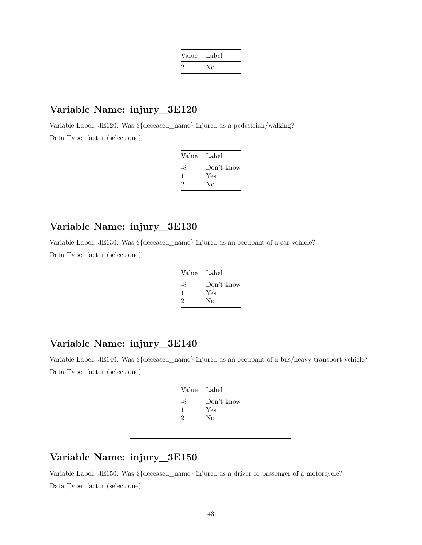| Value Label   |    |
|---------------|----|
| $\mathcal{L}$ | Nο |

Variable Label: 3E120. Was \${deceased\_name} injured as a pedestrian/walking? Data Type: factor (select one)

| Value | Label      |
|-------|------------|
| -8    | Don't know |
| ı     | Yes        |
| 2     | Nο         |
|       |            |

# **Variable Name: injury\_3E130**

Variable Label: 3E130. Was \${deceased\_name} injured as an occupant of a car vehicle?

Data Type: factor (select one)

| Value | Label      |
|-------|------------|
| -8    | Don't know |
| 1     | Yes        |
| 2     | No         |

### **Variable Name: injury\_3E140**

Variable Label: 3E140. Was \${deceased\_name} injured as an occupant of a bus/heavy transport vehicle? Data Type: factor (select one)

| Value Label |            |
|-------------|------------|
| -8          | Don't know |
| 1           | Yes        |
| 2           | Nο         |
|             |            |

## **Variable Name: injury\_3E150**

Variable Label: 3E150. Was \${deceased\_name} injured as a driver or passenger of a motorcycle? Data Type: factor (select one)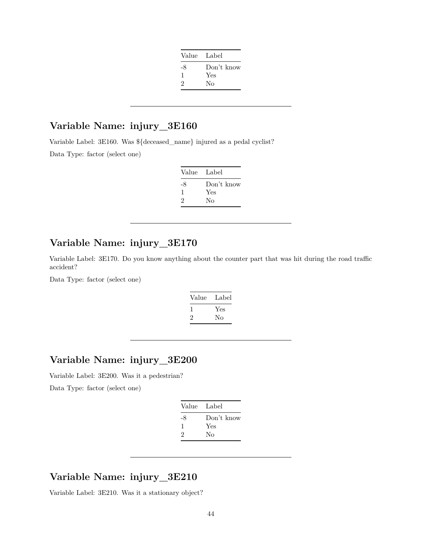| Value Label |            |
|-------------|------------|
| -8          | Don't know |
| 1           | Yes        |
| 2           | Nο         |
|             |            |

Variable Label: 3E160. Was \${deceased\_name} injured as a pedal cyclist?

Data Type: factor (select one)

| Value Label |
|-------------|
| Don't know  |
| Yes         |
| Nο          |
|             |

# **Variable Name: injury\_3E170**

Variable Label: 3E170. Do you know anything about the counter part that was hit during the road traffic accident?

Data Type: factor (select one)

| Value | Label |
|-------|-------|
|       | Yes   |
| '2    | No    |
|       |       |

# **Variable Name: injury\_3E200**

Variable Label: 3E200. Was it a pedestrian?

Data Type: factor (select one)

| Value Label |            |
|-------------|------------|
| -8          | Don't know |
| ı           | Yes        |
| 2           | Nο         |

### **Variable Name: injury\_3E210**

Variable Label: 3E210. Was it a stationary object?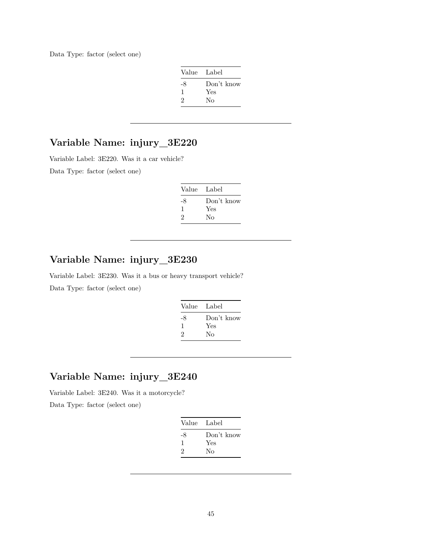Data Type: factor (select one)

| Value Label |            |
|-------------|------------|
| -8          | Don't know |
| 1           | Yes        |
| 2           | Nο         |

# **Variable Name: injury\_3E220**

Variable Label: 3E220. Was it a car vehicle?

Data Type: factor (select one)

| Value Label |            |
|-------------|------------|
| -8          | Don't know |
| ı.          | Yes        |
| 2           | Nο         |

# **Variable Name: injury\_3E230**

Variable Label: 3E230. Was it a bus or heavy transport vehicle? Data Type: factor (select one)

| Value Label |            |
|-------------|------------|
| -8          | Don't know |
| 1           | Yes        |
| 2           | No         |
|             |            |

# **Variable Name: injury\_3E240**

Variable Label: 3E240. Was it a motorcycle?

Data Type: factor (select one)

| Value Label |            |
|-------------|------------|
| -8          | Don't know |
| 1           | Yes        |
| 2           | Nο         |
|             |            |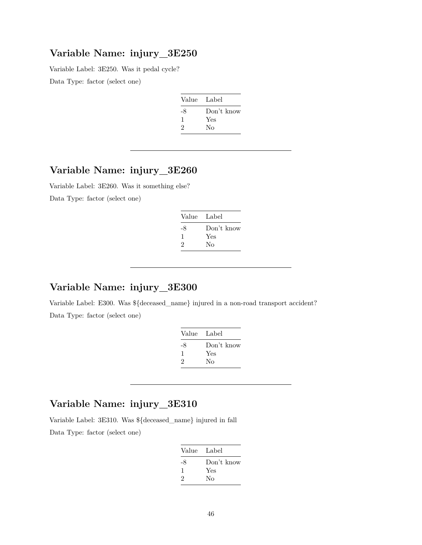Variable Label: 3E250. Was it pedal cycle?

Data Type: factor (select one)

| Value | Label      |
|-------|------------|
| -8    | Don't know |
| ı     | Yes        |
| 2     | Nο         |

# **Variable Name: injury\_3E260**

Variable Label: 3E260. Was it something else? Data Type: factor (select one)

| Value Label |
|-------------|
| Don't know  |
| Yes         |
| Nο          |
|             |

## **Variable Name: injury\_3E300**

Variable Label: E300. Was \${deceased\_name} injured in a non-road transport accident? Data Type: factor (select one)

| - Label    |
|------------|
| Don't know |
| Yes        |
| Nο         |
|            |

# **Variable Name: injury\_3E310**

Variable Label: 3E310. Was \${deceased\_name} injured in fall

Data Type: factor (select one)

| Value Label |            |
|-------------|------------|
| -8          | Don't know |
| 1           | Yes        |
| 2           | Nο         |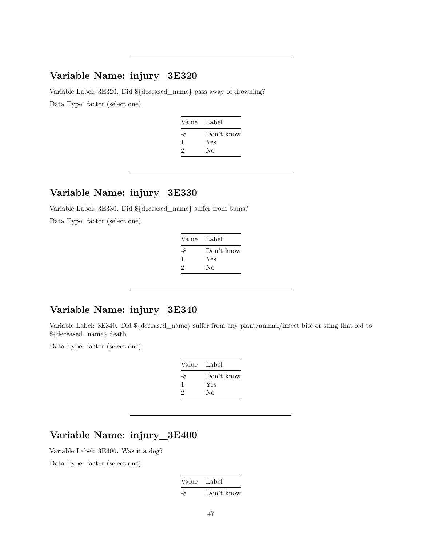Variable Label: 3E320. Did \${deceased\_name} pass away of drowning? Data Type: factor (select one)

| Value Label |            |
|-------------|------------|
| -8          | Don't know |
| ı.          | Yes        |
| 2           | Nο         |
|             |            |

#### **Variable Name: injury\_3E330**

Variable Label: 3E330. Did \${deceased\_name} suffer from bums?

Data Type: factor (select one)

| Value Label |            |
|-------------|------------|
| -8          | Don't know |
| ı.          | Yes        |
| 2           | Nο         |

### **Variable Name: injury\_3E340**

Variable Label: 3E340. Did \${deceased\_name} suffer from any plant/animal/insect bite or sting that led to \${deceased\_name} death

Data Type: factor (select one)

| Value | Label      |
|-------|------------|
| -8    | Don't know |
| ı     | Yes        |
| 2     | No         |
|       |            |

#### **Variable Name: injury\_3E400**

Variable Label: 3E400. Was it a dog?

Data Type: factor (select one)

Value Label -8 Don't know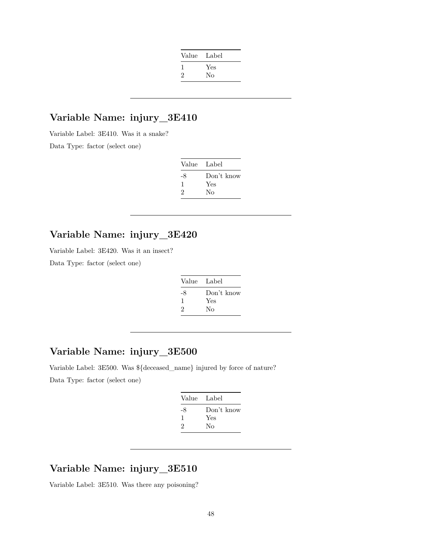| Label |
|-------|
| Yes   |
| No    |
|       |

Variable Label: 3E410. Was it a snake? Data Type: factor (select one)

| Value | - Label    |
|-------|------------|
| -8    | Don't know |
| ı     | Yes        |
| 2     | Nο         |

#### **Variable Name: injury\_3E420**

Variable Label: 3E420. Was it an insect?

Data Type: factor (select one)

| Value Label |            |
|-------------|------------|
| -8          | Don't know |
| ı           | Yes        |
| 2           | Nο         |
|             |            |

# **Variable Name: injury\_3E500**

Variable Label: 3E500. Was \${deceased\_name} injured by force of nature? Data Type: factor (select one)

| Value Label |            |
|-------------|------------|
| -8          | Don't know |
| ı           | Yes        |
| 2           | No         |
|             |            |

# **Variable Name: injury\_3E510**

Variable Label: 3E510. Was there any poisoning?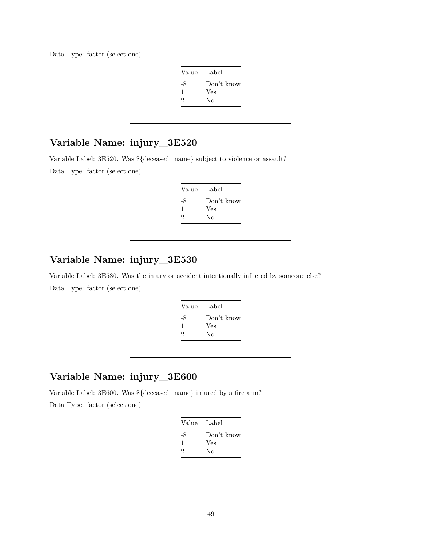Data Type: factor (select one)

| Value Label |            |
|-------------|------------|
| -8          | Don't know |
| -1          | Yes        |
| 2           | No         |

# **Variable Name: injury\_3E520**

Variable Label: 3E520. Was \${deceased\_name} subject to violence or assault?

Data Type: factor (select one)

| Value | Label      |
|-------|------------|
| -8    | Don't know |
| J.    | Yes        |
| 2     | Nο         |

# **Variable Name: injury\_3E530**

Variable Label: 3E530. Was the injury or accident intentionally inflicted by someone else? Data Type: factor (select one)

| Value | Label      |
|-------|------------|
| -8    | Don't know |
| 1     | Yes        |
| 2     | No         |
|       |            |

# **Variable Name: injury\_3E600**

Variable Label: 3E600. Was \${deceased\_name} injured by a fire arm?

Data Type: factor (select one)

| Value Label |            |
|-------------|------------|
| -8          | Don't know |
| 1           | Yes        |
| 2           | No         |
|             |            |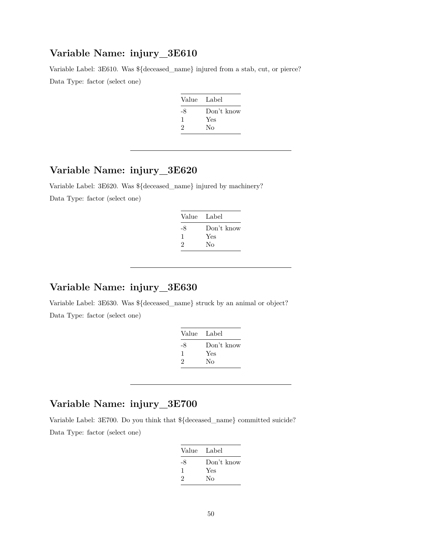Variable Label: 3E610. Was \${deceased\_name} injured from a stab, cut, or pierce? Data Type: factor (select one)

| Value | - Label    |
|-------|------------|
| -8    | Don't know |
| ı     | Yes        |
| 2     | No         |
|       |            |

# **Variable Name: injury\_3E620**

Variable Label: 3E620. Was \${deceased\_name} injured by machinery?

Data Type: factor (select one)

| Value Label |            |
|-------------|------------|
| -8          | Don't know |
| I.          | Yes        |
| 2           | Nο         |

## **Variable Name: injury\_3E630**

Variable Label: 3E630. Was \${deceased\_name} struck by an animal or object? Data Type: factor (select one)

| Value Label |
|-------------|
| Don't know  |
| Yes         |
| Nο          |
|             |

# **Variable Name: injury\_3E700**

Variable Label: 3E700. Do you think that \${deceased\_name} committed suicide? Data Type: factor (select one)

| Value Label |
|-------------|
| Don't know  |
| Yes         |
| Nο          |
|             |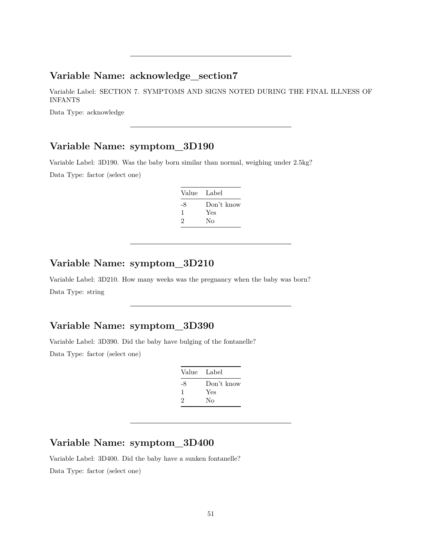#### **Variable Name: acknowledge\_section7**

Variable Label: SECTION 7. SYMPTOMS AND SIGNS NOTED DURING THE FINAL ILLNESS OF INFANTS

Data Type: acknowledge

#### **Variable Name: symptom\_3D190**

Variable Label: 3D190. Was the baby born similar than normal, weighing under 2.5kg?

Data Type: factor (select one)

| Value Label  |                         |
|--------------|-------------------------|
| -8<br>ı<br>2 | Don't know<br>Yes<br>Nο |
|              |                         |

#### **Variable Name: symptom\_3D210**

Variable Label: 3D210. How many weeks was the pregnancy when the baby was born? Data Type: string

### **Variable Name: symptom\_3D390**

Variable Label: 3D390. Did the baby have bulging of the fontanelle? Data Type: factor (select one)

| Value Label |            |
|-------------|------------|
| -8          | Don't know |
| -1          | Yes        |
| 2           | Nο         |

# **Variable Name: symptom\_3D400**

Variable Label: 3D400. Did the baby have a sunken fontanelle? Data Type: factor (select one)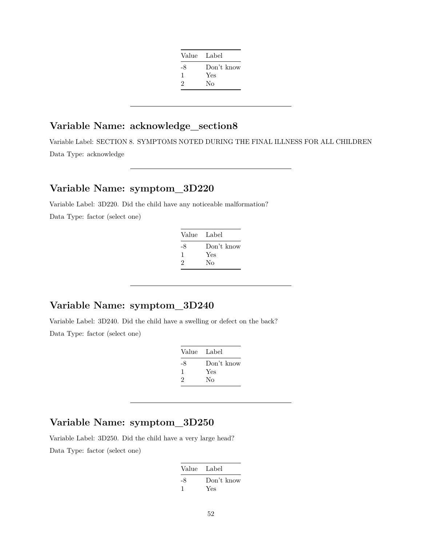| Value Label |            |
|-------------|------------|
| -8          | Don't know |
| 1           | Yes        |
| 2           | No         |
|             |            |

# **Variable Name: acknowledge\_section8**

Variable Label: SECTION 8. SYMPTOMS NOTED DURING THE FINAL ILLNESS FOR ALL CHILDREN Data Type: acknowledge

# **Variable Name: symptom\_3D220**

Variable Label: 3D220. Did the child have any noticeable malformation? Data Type: factor (select one)

| Value | - Label    |
|-------|------------|
| -8    | Don't know |
| ı     | Yes        |
| 2     | No         |

### **Variable Name: symptom\_3D240**

Variable Label: 3D240. Did the child have a swelling or defect on the back? Data Type: factor (select one)

| Value Label |            |
|-------------|------------|
| -8          | Don't know |
| ı           | Yes        |
| 2           | Nο         |
|             |            |

# **Variable Name: symptom\_3D250**

Variable Label: 3D250. Did the child have a very large head? Data Type: factor (select one)

| Value Label |            |
|-------------|------------|
| -8          | Don't know |
|             | Yes        |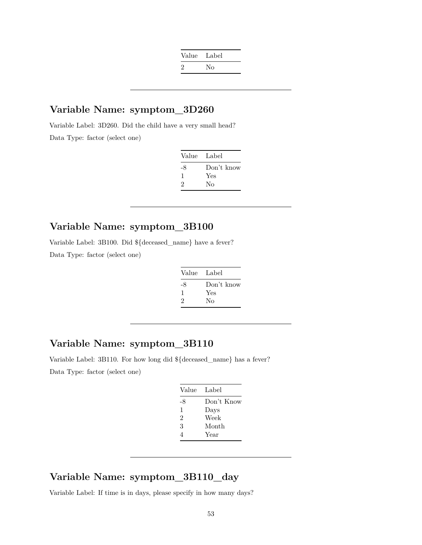| Value Label   |    |
|---------------|----|
| $\mathcal{Z}$ | Nο |

Variable Label: 3D260. Did the child have a very small head? Data Type: factor (select one)

| Value Label |            |
|-------------|------------|
| -8          | Don't know |
| ı           | Yes        |
| 2           | Nο         |

# **Variable Name: symptom\_3B100**

Variable Label: 3B100. Did \${deceased\_name} have a fever?

Data Type: factor (select one)

| Value Label |            |
|-------------|------------|
| -8          | Don't know |
| 1           | Yes        |
| 2           | No         |

# **Variable Name: symptom\_3B110**

Variable Label: 3B110. For how long did \${deceased\_name} has a fever? Data Type: factor (select one)

| Value | Label      |
|-------|------------|
| -8    | Don't Know |
| 1     | Days       |
| 2     | Week       |
| 3     | Month      |
| 4     | Year       |

#### **Variable Name: symptom\_3B110\_day**

Variable Label: If time is in days, please specify in how many days?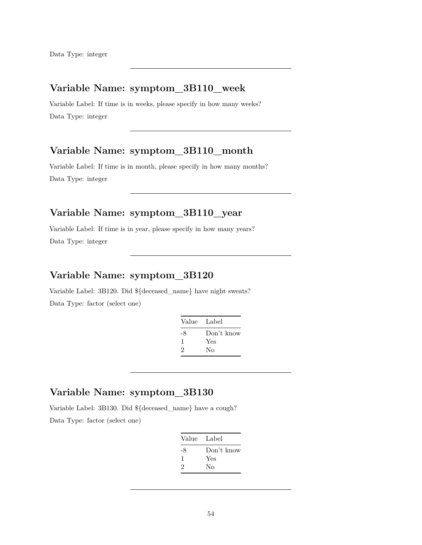# **Variable Name: symptom\_3B110\_week**

Variable Label: If time is in weeks, please specify in how many weeks? Data Type: integer

# **Variable Name: symptom\_3B110\_month**

Variable Label: If time is in month, please specify in how many months? Data Type: integer

# **Variable Name: symptom\_3B110\_year**

Variable Label: If time is in year, please specify in how many years? Data Type: integer

# **Variable Name: symptom\_3B120**

Variable Label: 3B120. Did \${deceased\_name} have night sweats? Data Type: factor (select one)

| Value Label |            |
|-------------|------------|
| -8          | Don't know |
|             | Yes        |
| 2           | Nο         |
|             |            |

# **Variable Name: symptom\_3B130**

Variable Label: 3B130. Did \${deceased\_name} have a cough? Data Type: factor (select one)

| Value | Label      |
|-------|------------|
| -8    | Don't know |
| ı     | Yes        |
| 2     | Nο         |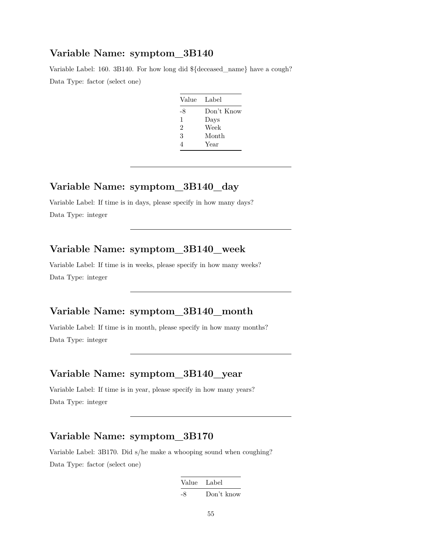Variable Label: 160. 3B140. For how long did \${deceased\_name} have a cough? Data Type: factor (select one)

| Value Label |            |
|-------------|------------|
| -8          | Don't Know |
| 1           | Days       |
| 2           | Week       |
| 3           | Month      |
| Δ           | Year       |

# **Variable Name: symptom\_3B140\_day**

Variable Label: If time is in days, please specify in how many days? Data Type: integer

#### **Variable Name: symptom\_3B140\_week**

Variable Label: If time is in weeks, please specify in how many weeks? Data Type: integer

# **Variable Name: symptom\_3B140\_month**

Variable Label: If time is in month, please specify in how many months? Data Type: integer

# **Variable Name: symptom\_3B140\_year**

Variable Label: If time is in year, please specify in how many years? Data Type: integer

#### **Variable Name: symptom\_3B170**

Variable Label: 3B170. Did s/he make a whooping sound when coughing? Data Type: factor (select one)

| Value Label |            |
|-------------|------------|
| -8          | Don't know |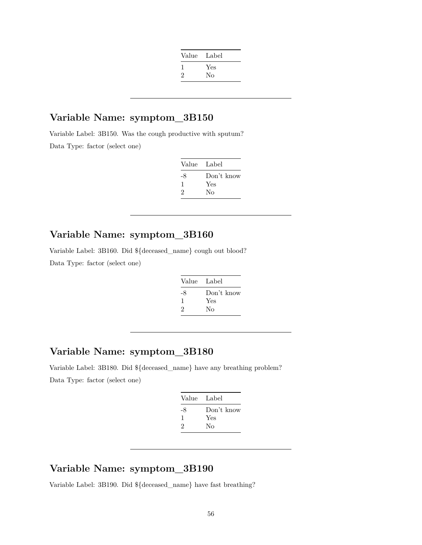| Value | Label |
|-------|-------|
|       | Yes   |
| 2     | No    |
|       |       |

Variable Label: 3B150. Was the cough productive with sputum? Data Type: factor (select one)

| Value | - Label    |
|-------|------------|
| -8    | Don't know |
| H     | Yes        |
| 2     | Nο         |

# **Variable Name: symptom\_3B160**

Variable Label: 3B160. Did \${deceased\_name} cough out blood?

Data Type: factor (select one)

| Don't know |
|------------|
| Yes        |
| No         |
|            |

# **Variable Name: symptom\_3B180**

Variable Label: 3B180. Did \${deceased\_name} have any breathing problem? Data Type: factor (select one)

| Value Label |            |
|-------------|------------|
| -8          | Don't know |
| 1           | Yes        |
| 2           | Nο         |
|             |            |

# **Variable Name: symptom\_3B190**

Variable Label: 3B190. Did \${deceased\_name} have fast breathing?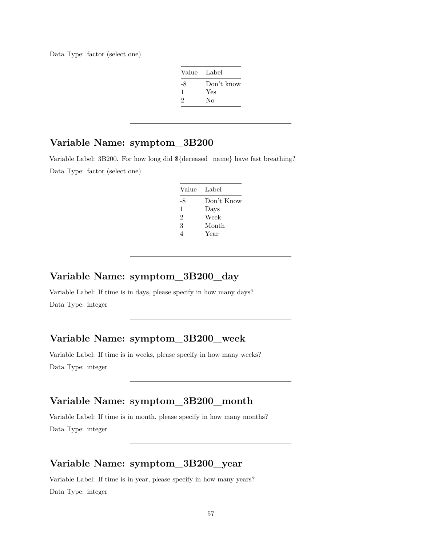Data Type: factor (select one)

| Value Label |            |
|-------------|------------|
| -8          | Don't know |
| 1           | Yes        |
| 2           | Nο         |

## **Variable Name: symptom\_3B200**

Variable Label: 3B200. For how long did \${deceased\_name} have fast breathing? Data Type: factor (select one)

| Value | - Label    |
|-------|------------|
| -8    | Don't Know |
| 1     | Days       |
| 2     | Week       |
| 3     | Month      |
| 4     | Year       |

### **Variable Name: symptom\_3B200\_day**

Variable Label: If time is in days, please specify in how many days? Data Type: integer

# **Variable Name: symptom\_3B200\_week**

Variable Label: If time is in weeks, please specify in how many weeks? Data Type: integer

# **Variable Name: symptom\_3B200\_month**

Variable Label: If time is in month, please specify in how many months? Data Type: integer

#### **Variable Name: symptom\_3B200\_year**

Variable Label: If time is in year, please specify in how many years? Data Type: integer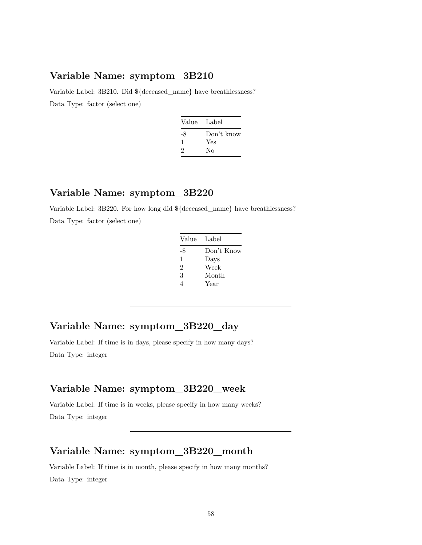Variable Label: 3B210. Did \${deceased\_name} have breathlessness? Data Type: factor (select one)

| Value Label |            |
|-------------|------------|
| -8          | Don't know |
| $\perp$     | Yes        |
| 2           | Nο         |
|             |            |

# **Variable Name: symptom\_3B220**

Variable Label: 3B220. For how long did \${deceased\_name} have breathlessness? Data Type: factor (select one)

| Value Label |            |
|-------------|------------|
| -8          | Don't Know |
| 1           | Days       |
| 2           | Week       |
| 3           | Month      |
| 4           | Year       |

# **Variable Name: symptom\_3B220\_day**

Variable Label: If time is in days, please specify in how many days? Data Type: integer

### **Variable Name: symptom\_3B220\_week**

Variable Label: If time is in weeks, please specify in how many weeks? Data Type: integer

# **Variable Name: symptom\_3B220\_month**

Variable Label: If time is in month, please specify in how many months? Data Type: integer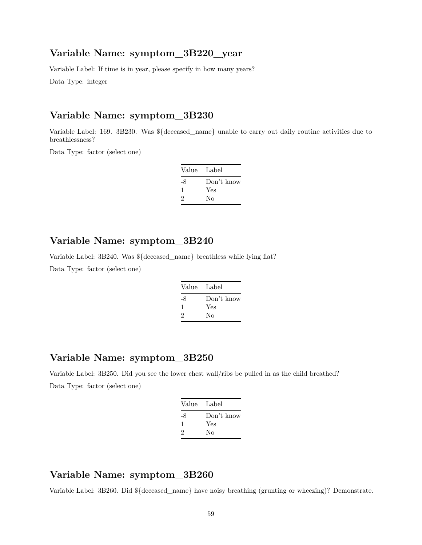#### **Variable Name: symptom\_3B220\_year**

Variable Label: If time is in year, please specify in how many years?

Data Type: integer

### **Variable Name: symptom\_3B230**

Variable Label: 169. 3B230. Was \${deceased\_name} unable to carry out daily routine activities due to breathlessness?

Data Type: factor (select one)

| Value | - Label    |
|-------|------------|
| -8    | Don't know |
| ı.    | Yes        |
| 2     | Nο         |

#### **Variable Name: symptom\_3B240**

Variable Label: 3B240. Was \${deceased\_name} breathless while lying flat?

Data Type: factor (select one)

| Don't know<br>-8<br>Yes<br>1 | Value Label |    |
|------------------------------|-------------|----|
|                              | 2           | Nο |

# **Variable Name: symptom\_3B250**

Variable Label: 3B250. Did you see the lower chest wall/ribs be pulled in as the child breathed? Data Type: factor (select one)

| Value Label |            |
|-------------|------------|
| -8          | Don't know |
| ı           | Yes        |
| 2           | Nο         |
|             |            |

## **Variable Name: symptom\_3B260**

Variable Label: 3B260. Did \${deceased\_name} have noisy breathing (grunting or wheezing)? Demonstrate.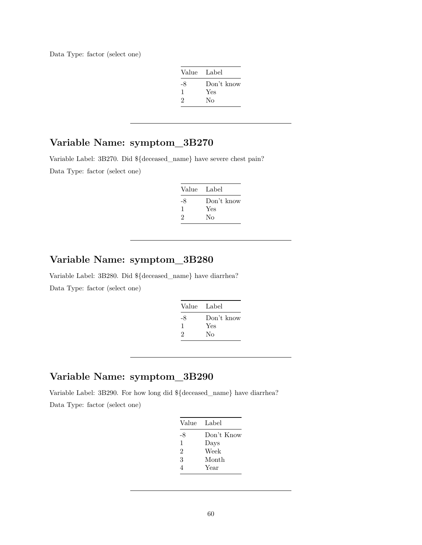Data Type: factor (select one)

| Value Label |            |
|-------------|------------|
| -8          | Don't know |
| -1          | Yes        |
| 2           | Nο         |

# **Variable Name: symptom\_3B270**

Variable Label: 3B270. Did \${deceased\_name} have severe chest pain? Data Type: factor (select one)

| Value Label |
|-------------|
| Don't know  |
| Yes         |
| Nο          |
|             |

# **Variable Name: symptom\_3B280**

Variable Label: 3B280. Did \${deceased\_name} have diarrhea? Data Type: factor (select one)

| Value Label |            |
|-------------|------------|
| -8          | Don't know |
| ı           | Yes        |
| 2           | Nο         |
|             |            |

# **Variable Name: symptom\_3B290**

Variable Label: 3B290. For how long did \${deceased\_name} have diarrhea? Data Type: factor (select one)

| Value | Label      |
|-------|------------|
| -8    | Don't Know |
| 1     | Days       |
| 2     | Week       |
| 3     | Month      |
|       | Year       |
|       |            |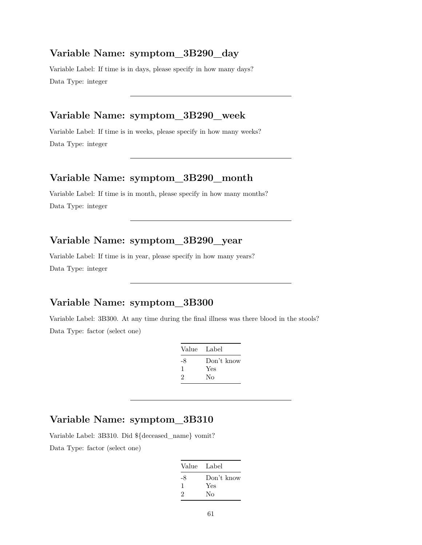#### **Variable Name: symptom\_3B290\_day**

Variable Label: If time is in days, please specify in how many days? Data Type: integer

#### **Variable Name: symptom\_3B290\_week**

Variable Label: If time is in weeks, please specify in how many weeks? Data Type: integer

#### **Variable Name: symptom\_3B290\_month**

Variable Label: If time is in month, please specify in how many months? Data Type: integer

# **Variable Name: symptom\_3B290\_year**

Variable Label: If time is in year, please specify in how many years? Data Type: integer

#### **Variable Name: symptom\_3B300**

Variable Label: 3B300. At any time during the final illness was there blood in the stools? Data Type: factor (select one)

|    | Value Label |
|----|-------------|
| -8 | Don't know  |
| 1  | Yes         |
| 2  | Nο          |
|    |             |

# **Variable Name: symptom\_3B310**

Variable Label: 3B310. Did \${deceased\_name} vomit?

Data Type: factor (select one)

| Value Label |            |
|-------------|------------|
| -8          | Don't know |
| 1           | Yes        |
| 2           | No         |
|             |            |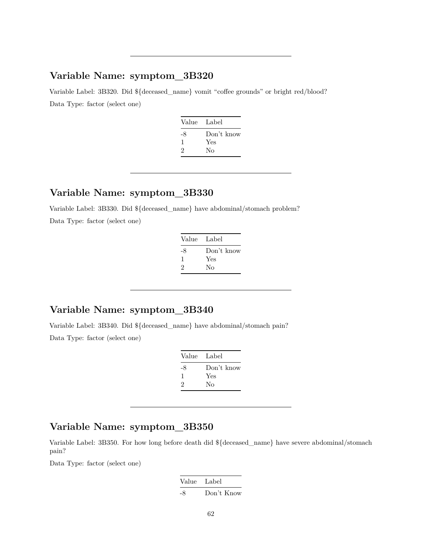Variable Label: 3B320. Did \${deceased\_name} vomit "coffee grounds" or bright red/blood? Data Type: factor (select one)

| Value Label |            |
|-------------|------------|
| -8          | Don't know |
| ı           | Yes        |
| 2           | Nο         |

#### **Variable Name: symptom\_3B330**

Variable Label: 3B330. Did \${deceased\_name} have abdominal/stomach problem?

Data Type: factor (select one)

| Value Label |            |
|-------------|------------|
| -8          | Don't know |
| ı           | Yes        |
| 2           | Nο         |

# **Variable Name: symptom\_3B340**

Variable Label: 3B340. Did \${deceased\_name} have abdominal/stomach pain? Data Type: factor (select one)

| Value Label |                   |
|-------------|-------------------|
| -8<br>ı     | Don't know<br>Yes |
| 2           | Nο                |

# **Variable Name: symptom\_3B350**

Variable Label: 3B350. For how long before death did \${deceased\_name} have severe abdominal/stomach pain?

Data Type: factor (select one)

Value Label -8 Don't Know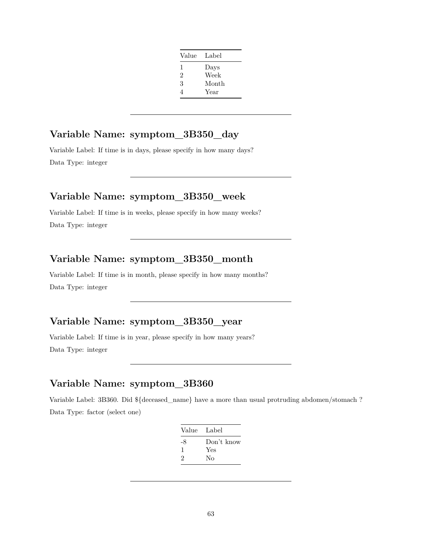| Value          | Label |
|----------------|-------|
| 1              | Days  |
| $\overline{2}$ | Week  |
| 3              | Month |
| 4              | Year  |

# **Variable Name: symptom\_3B350\_day**

Variable Label: If time is in days, please specify in how many days? Data Type: integer

#### **Variable Name: symptom\_3B350\_week**

Variable Label: If time is in weeks, please specify in how many weeks? Data Type: integer

# **Variable Name: symptom\_3B350\_month**

Variable Label: If time is in month, please specify in how many months? Data Type: integer

# **Variable Name: symptom\_3B350\_year**

Variable Label: If time is in year, please specify in how many years? Data Type: integer

# **Variable Name: symptom\_3B360**

Variable Label: 3B360. Did \${deceased\_name} have a more than usual protruding abdomen/stomach ? Data Type: factor (select one)

| Value Label |            |
|-------------|------------|
| -8          | Don't know |
| 1           | Yes        |
| 2           | Nο         |
|             |            |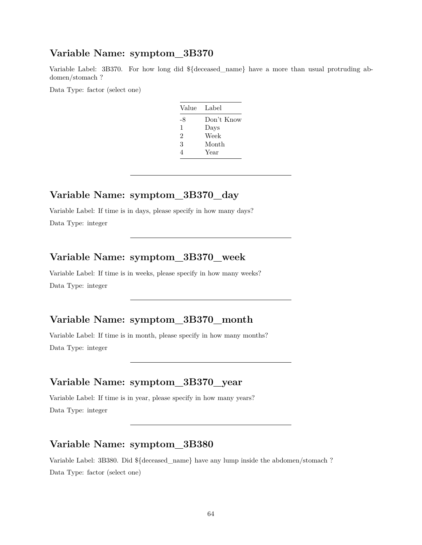Variable Label: 3B370. For how long did \${deceased\_name} have a more than usual protruding abdomen/stomach ?

Data Type: factor (select one)

| Value | Label      |
|-------|------------|
| -8    | Don't Know |
| 1     | Days       |
| 2     | Week       |
| 3     | Month      |
| Δ     | Year       |

### **Variable Name: symptom\_3B370\_day**

Variable Label: If time is in days, please specify in how many days? Data Type: integer

#### **Variable Name: symptom\_3B370\_week**

Variable Label: If time is in weeks, please specify in how many weeks? Data Type: integer

#### **Variable Name: symptom\_3B370\_month**

Variable Label: If time is in month, please specify in how many months? Data Type: integer

### **Variable Name: symptom\_3B370\_year**

Variable Label: If time is in year, please specify in how many years? Data Type: integer

# **Variable Name: symptom\_3B380**

Variable Label: 3B380. Did \${deceased\_name} have any lump inside the abdomen/stomach ? Data Type: factor (select one)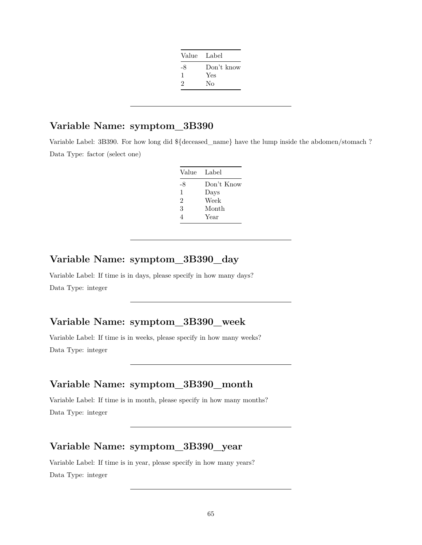| Value Label |            |
|-------------|------------|
| -8          | Don't know |
| ı           | Yes        |
| 2           | Nο         |
|             |            |

Variable Label: 3B390. For how long did \${deceased\_name} have the lump inside the abdomen/stomach ? Data Type: factor (select one)

| Value Label |            |
|-------------|------------|
| -8          | Don't Know |
| 1           | Days       |
| 2           | Week       |
| 3           | Month      |
| 4           | Year       |

# **Variable Name: symptom\_3B390\_day**

Variable Label: If time is in days, please specify in how many days? Data Type: integer

### **Variable Name: symptom\_3B390\_week**

Variable Label: If time is in weeks, please specify in how many weeks? Data Type: integer

# **Variable Name: symptom\_3B390\_month**

Variable Label: If time is in month, please specify in how many months? Data Type: integer

# **Variable Name: symptom\_3B390\_year**

Variable Label: If time is in year, please specify in how many years? Data Type: integer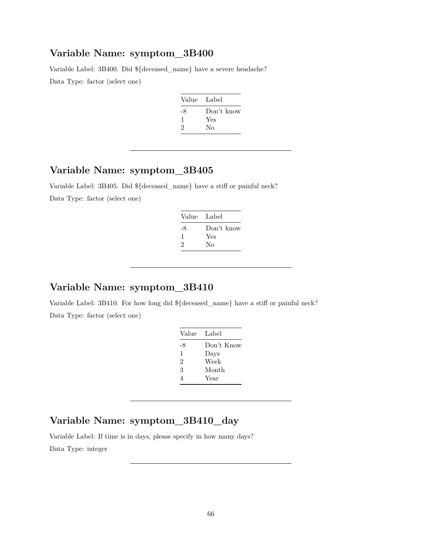Variable Label: 3B400. Did \${deceased\_name} have a severe headache? Data Type: factor (select one)

| Value | Label      |
|-------|------------|
| -8    | Don't know |
| 1     | Yes        |
| 2     | Nο         |

# **Variable Name: symptom\_3B405**

Variable Label: 3B405. Did \${deceased\_name} have a stiff or painful neck?

Data Type: factor (select one)

| Value Label |
|-------------|
| Don't know  |
| Yes         |
| Nο          |
|             |

# **Variable Name: symptom\_3B410**

Variable Label: 3B410. For how long did \${deceased\_name} have a stiff or painful neck? Data Type: factor (select one)

| Value | Label      |
|-------|------------|
| -8    | Don't Know |
| 1     | Days       |
| 2     | Week       |
| 3     | Month      |
| 4     | Year       |
|       |            |

# **Variable Name: symptom\_3B410\_day**

Variable Label: If time is in days, please specify in how many days?

Data Type: integer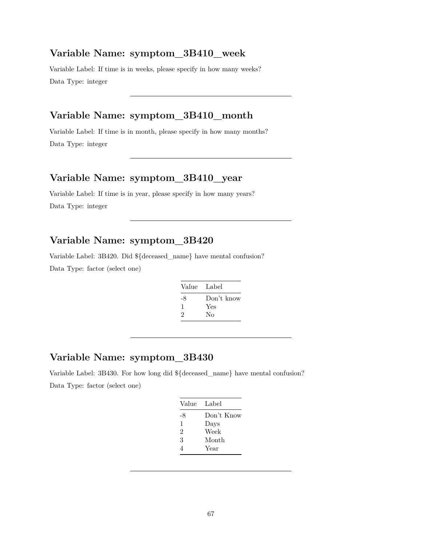#### **Variable Name: symptom\_3B410\_week**

Variable Label: If time is in weeks, please specify in how many weeks? Data Type: integer

#### **Variable Name: symptom\_3B410\_month**

Variable Label: If time is in month, please specify in how many months? Data Type: integer

#### **Variable Name: symptom\_3B410\_year**

Variable Label: If time is in year, please specify in how many years? Data Type: integer

## **Variable Name: symptom\_3B420**

Variable Label: 3B420. Did \${deceased\_name} have mental confusion?

Data Type: factor (select one)

| -8<br>Yes<br>1 | Value Label |
|----------------|-------------|
| 2<br>Nο        | Don't know  |

# **Variable Name: symptom\_3B430**

Variable Label: 3B430. For how long did \${deceased\_name} have mental confusion? Data Type: factor (select one)

| Value          | Label      |
|----------------|------------|
| -8             | Don't Know |
| 1              | Days       |
| $\mathfrak{D}$ | Week       |
| 3              | Month      |
| 4              | Year       |
|                |            |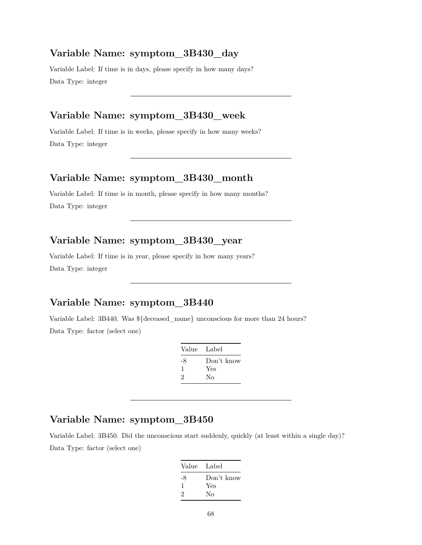#### **Variable Name: symptom\_3B430\_day**

Variable Label: If time is in days, please specify in how many days? Data Type: integer

#### **Variable Name: symptom\_3B430\_week**

Variable Label: If time is in weeks, please specify in how many weeks? Data Type: integer

#### **Variable Name: symptom\_3B430\_month**

Variable Label: If time is in month, please specify in how many months? Data Type: integer

# **Variable Name: symptom\_3B430\_year**

Variable Label: If time is in year, please specify in how many years? Data Type: integer

#### **Variable Name: symptom\_3B440**

Variable Label: 3B440. Was \${deceased\_name} unconscious for more than 24 hours? Data Type: factor (select one)

| Value Label |
|-------------|
| Don't know  |
| Yes         |
| Nο          |
|             |

# **Variable Name: symptom\_3B450**

Variable Label: 3B450. Did the unconscious start suddenly, quickly (at least within a single day)? Data Type: factor (select one)

| Value Label |            |
|-------------|------------|
| -8          | Don't know |
| ı           | Yes        |
| 2           | Nο         |
|             |            |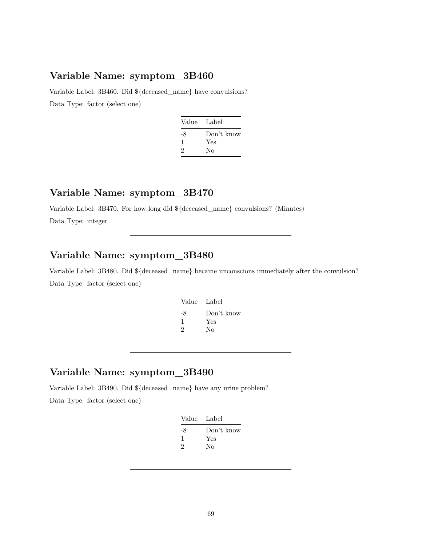Variable Label: 3B460. Did \${deceased\_name} have convulsions? Data Type: factor (select one)

| Value Label |            |
|-------------|------------|
| -8          | Don't know |
| ı           | Yes        |
| 2           | Nο         |
|             |            |

#### **Variable Name: symptom\_3B470**

Variable Label: 3B470. For how long did \${deceased\_name} convulsions? (Minutes) Data Type: integer

# **Variable Name: symptom\_3B480**

Variable Label: 3B480. Did \${deceased\_name} became unconscious immediately after the convulsion? Data Type: factor (select one)

| Don't know |
|------------|
| Yes        |
| Nο         |
|            |

# **Variable Name: symptom\_3B490**

Variable Label: 3B490. Did \${deceased\_name} have any urine problem?

Data Type: factor (select one)

| Value | Label      |
|-------|------------|
| -8    | Don't know |
| 1     | Yes        |
| 2     | Nο         |
|       |            |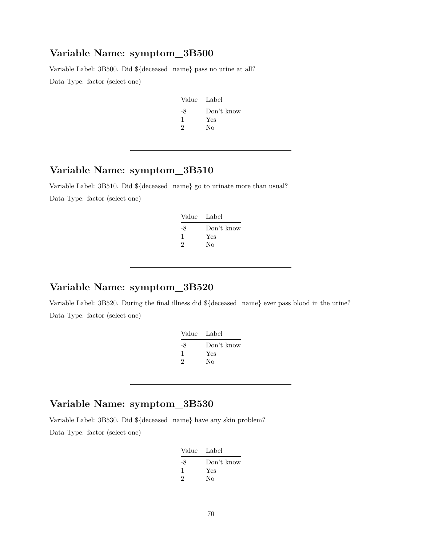Variable Label: 3B500. Did \${deceased\_name} pass no urine at all? Data Type: factor (select one)

| Value Label |
|-------------|
| Don't know  |
| Yes         |
| Nο          |
|             |

# **Variable Name: symptom\_3B510**

Variable Label: 3B510. Did \${deceased\_name} go to urinate more than usual?

Data Type: factor (select one)

| Value Label |
|-------------|
| Don't know  |
| Yes         |
| Nο          |
|             |

#### **Variable Name: symptom\_3B520**

Variable Label: 3B520. During the final illness did \${deceased\_name} ever pass blood in the urine? Data Type: factor (select one)

| Label      |
|------------|
| Don't know |
|            |
|            |
|            |

### **Variable Name: symptom\_3B530**

Variable Label: 3B530. Did \${deceased\_name} have any skin problem?

Data Type: factor (select one)

| Value Label |            |
|-------------|------------|
| -8          | Don't know |
| ı           | Yes        |
| 2           | Nο         |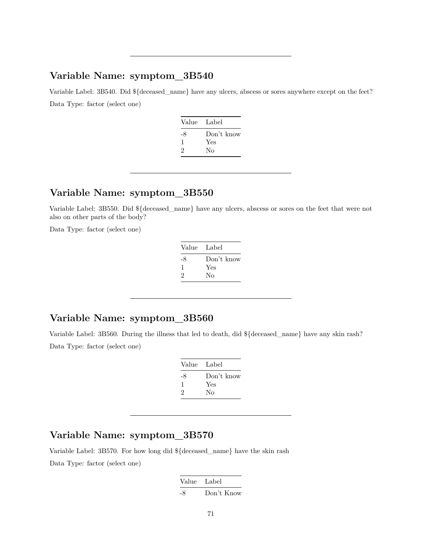Variable Label: 3B540. Did  $\{\text{deceased}\}$  name} have any ulcers, abscess or sores anywhere except on the feet? Data Type: factor (select one)

| Value Label |
|-------------|
| Don't know  |
| Yes         |
| Nο          |
|             |

#### **Variable Name: symptom\_3B550**

Variable Label: 3B550. Did \${deceased\_name} have any ulcers, abscess or sores on the feet that were not also on other parts of the body?

Data Type: factor (select one)

| Value Label |
|-------------|
| Don't know  |
| Yes         |
| Nο          |
|             |

### **Variable Name: symptom\_3B560**

Variable Label: 3B560. During the illness that led to death, did \${deceased\_name} have any skin rash? Data Type: factor (select one)

| Value | Label      |
|-------|------------|
| -8    | Don't know |
| 1     | Yes        |
| 2     | No         |

#### **Variable Name: symptom\_3B570**

Variable Label: 3B570. For how long did \${deceased\_name} have the skin rash Data Type: factor (select one)

> Value Label -8 Don't Know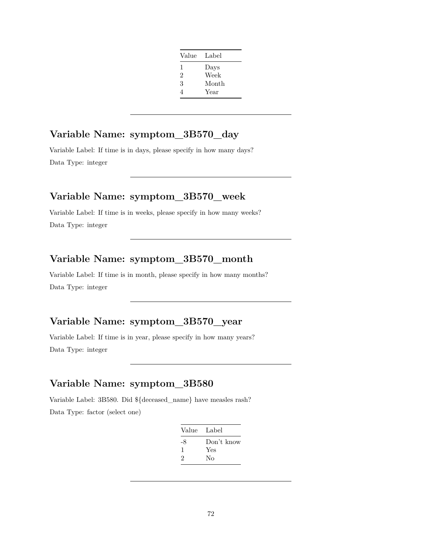| Value          | Label |
|----------------|-------|
| 1              | Days  |
| $\overline{2}$ | Week  |
| 3              | Month |
| 4              | Year  |

# **Variable Name: symptom\_3B570\_day**

Variable Label: If time is in days, please specify in how many days? Data Type: integer

# **Variable Name: symptom\_3B570\_week**

Variable Label: If time is in weeks, please specify in how many weeks? Data Type: integer

# **Variable Name: symptom\_3B570\_month**

Variable Label: If time is in month, please specify in how many months? Data Type: integer

# **Variable Name: symptom\_3B570\_year**

Variable Label: If time is in year, please specify in how many years? Data Type: integer

# **Variable Name: symptom\_3B580**

Variable Label: 3B580. Did \${deceased\_name} have measles rash? Data Type: factor (select one)

| Value Label |            |
|-------------|------------|
| -8          | Don't know |
| 1           | Yes        |
| 2           | Nο         |
|             |            |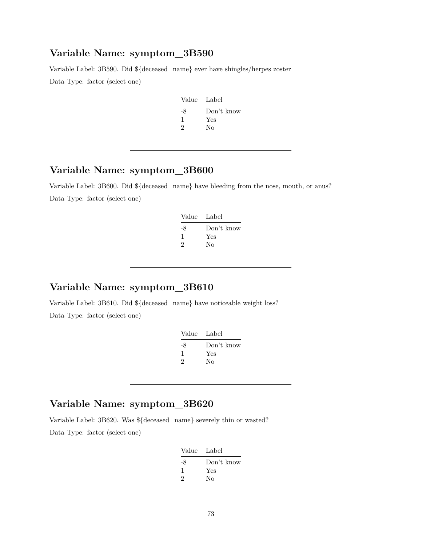Variable Label: 3B590. Did \${deceased\_name} ever have shingles/herpes zoster

Data Type: factor (select one)

| Value Label |
|-------------|
| Don't know  |
| Yes         |
| Nο          |
|             |

### **Variable Name: symptom\_3B600**

Variable Label: 3B600. Did \${deceased\_name} have bleeding from the nose, mouth, or anus? Data Type: factor (select one)

| Value Label |
|-------------|
| Don't know  |
| Yes         |
| Nο          |
|             |

#### **Variable Name: symptom\_3B610**

Variable Label: 3B610. Did \${deceased\_name} have noticeable weight loss? Data Type: factor (select one)

| Value Label |            |
|-------------|------------|
| -8          | Don't know |
|             | Yes        |
| 2           | No         |
|             |            |

### **Variable Name: symptom\_3B620**

Variable Label: 3B620. Was \${deceased\_name} severely thin or wasted?

| Value Label |
|-------------|
| Don't know  |
| Yes         |
| Nο          |
|             |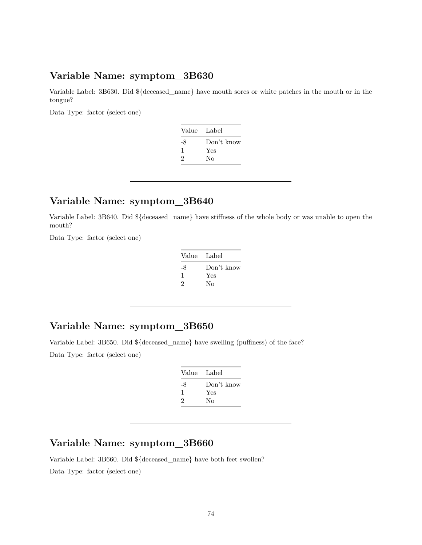Variable Label: 3B630. Did \${deceased\_name} have mouth sores or white patches in the mouth or in the tongue?

Data Type: factor (select one)

| Value Label |            |
|-------------|------------|
| -8          | Don't know |
| 1           | Yes        |
| 2           | No         |
|             |            |

# **Variable Name: symptom\_3B640**

Variable Label: 3B640. Did \${deceased\_name} have stiffness of the whole body or was unable to open the mouth?

Data Type: factor (select one)

| Value | Label      |
|-------|------------|
| -8    | Don't know |
| 1     | Yes        |
| 2     | No         |
|       |            |

### **Variable Name: symptom\_3B650**

Variable Label: 3B650. Did \${deceased\_name} have swelling (puffiness) of the face?

Data Type: factor (select one)

| Value Label |            |
|-------------|------------|
| -8          | Don't know |
| л.          | Yes        |
| 2           | Nο         |

### **Variable Name: symptom\_3B660**

Variable Label: 3B660. Did \${deceased\_name} have both feet swollen?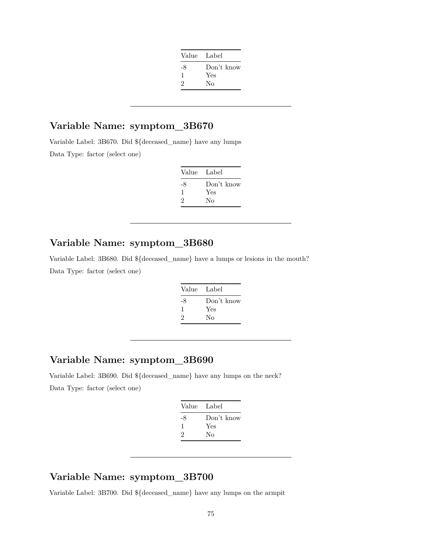| Value Label |            |
|-------------|------------|
| -8          | Don't know |
| ı           | Yes        |
| 2           | Nο         |
|             |            |

Variable Label: 3B670. Did \${deceased\_name} have any lumps Data Type: factor (select one)

| Value Label |
|-------------|
| Don't know  |
| Yes         |
| Nο          |
|             |

### **Variable Name: symptom\_3B680**

Variable Label: 3B680. Did \${deceased\_name} have a lumps or lesions in the mouth? Data Type: factor (select one)

| Value | - Label    |
|-------|------------|
| -8    | Don't know |
| 1     | Yes        |
| 2     | No         |
|       |            |

### **Variable Name: symptom\_3B690**

Variable Label: 3B690. Did \${deceased\_name} have any lumps on the neck? Data Type: factor (select one)

| Value Label |            |
|-------------|------------|
| -8          | Don't know |
| ı           | Yes        |
| 2           | Nο         |
|             |            |

#### **Variable Name: symptom\_3B700**

Variable Label: 3B700. Did \${deceased\_name} have any lumps on the armpit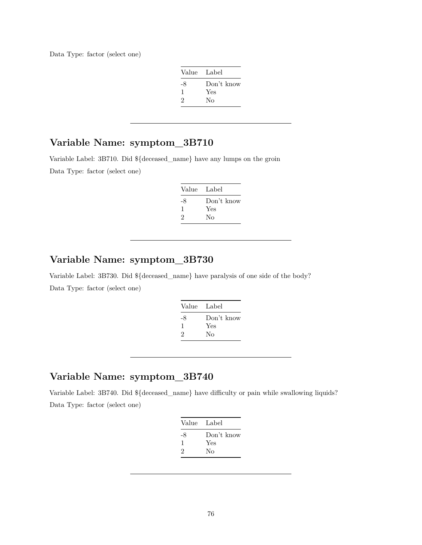Data Type: factor (select one)

| Value Label |            |
|-------------|------------|
| -8          | Don't know |
| ı           | Yes        |
| 2           | Nο         |

# **Variable Name: symptom\_3B710**

Variable Label: 3B710. Did \${deceased\_name} have any lumps on the groin Data Type: factor (select one)

| Value | Label      |
|-------|------------|
| -8    | Don't know |
| л.    | Yes        |
| 2     | Nο         |

### **Variable Name: symptom\_3B730**

Variable Label: 3B730. Did \${deceased\_name} have paralysis of one side of the body? Data Type: factor (select one)

| Value | Label      |
|-------|------------|
| -8    | Don't know |
| 1     | Yes        |
| 2     | Nο         |
|       |            |

### **Variable Name: symptom\_3B740**

Variable Label: 3B740. Did \${deceased\_name} have difficulty or pain while swallowing liquids? Data Type: factor (select one)

|    | Value Label |
|----|-------------|
| -8 | Don't know  |
| ı  | Yes         |
| 2  | Nο          |
|    |             |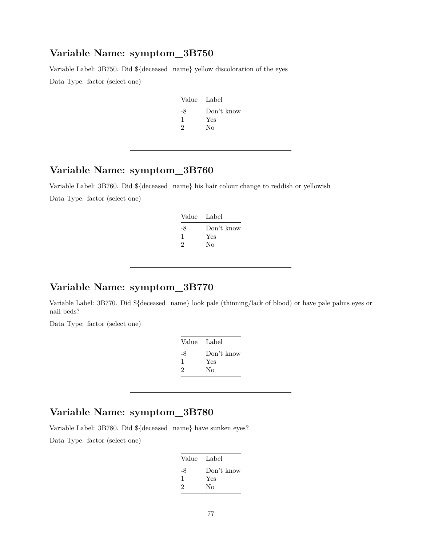Variable Label: 3B750. Did \${deceased\_name} yellow discoloration of the eyes

Data Type: factor (select one)

| Value Label |
|-------------|
| Don't know  |
| Yes         |
| No          |
|             |

# **Variable Name: symptom\_3B760**

Variable Label: 3B760. Did \${deceased\_name} his hair colour change to reddish or yellowish Data Type: factor (select one)

| Value<br>Label |
|----------------|
| Don't know     |
| Yes            |
| Nο             |
|                |

### **Variable Name: symptom\_3B770**

Variable Label: 3B770. Did \${deceased\_name} look pale (thinning/lack of blood) or have pale palms eyes or nail beds?

Data Type: factor (select one)

| Value Label |            |
|-------------|------------|
| -8          | Don't know |
| ı           | Yes        |
| 2           | Nο         |

# **Variable Name: symptom\_3B780**

Variable Label: 3B780. Did \${deceased\_name} have sunken eyes?

| Value Label |            |
|-------------|------------|
| -8          | Don't know |
| 1           | Yes        |
| 2           | Nο         |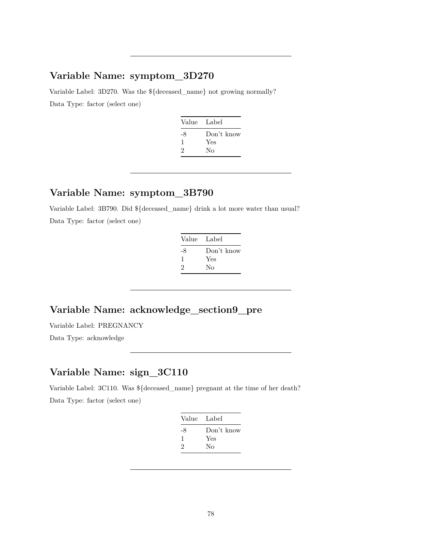Variable Label: 3D270. Was the \${deceased\_name} not growing normally? Data Type: factor (select one)

| Value Label |            |
|-------------|------------|
| -8          | Don't know |
| ı           | Yes        |
| 2           | Nο         |
|             |            |

### **Variable Name: symptom\_3B790**

Variable Label: 3B790. Did \${deceased\_name} drink a lot more water than usual? Data Type: factor (select one)

| Value Label |
|-------------|
| Don't know  |
| Yes         |
| Nο          |
|             |

## **Variable Name: acknowledge\_section9\_pre**

Variable Label: PREGNANCY

Data Type: acknowledge

# **Variable Name: sign\_3C110**

Variable Label: 3C110. Was \${deceased\_name} pregnant at the time of her death? Data Type: factor (select one)

| Value Label |            |
|-------------|------------|
| -8          | Don't know |
| 1           | Yes        |
| 2           | No         |
|             |            |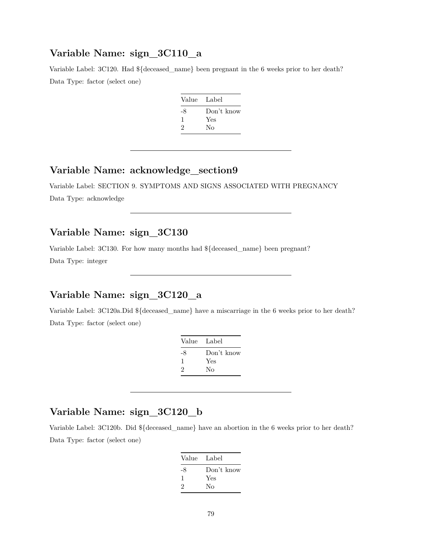### **Variable Name: sign\_3C110\_a**

Variable Label: 3C120. Had  ${\{\text{deseased\_name}\}}$  been pregnant in the 6 weeks prior to her death? Data Type: factor (select one)

| Value Label |            |
|-------------|------------|
| -8          | Don't know |
|             | Yes        |
| 2           | No         |
|             |            |

#### **Variable Name: acknowledge\_section9**

Variable Label: SECTION 9. SYMPTOMS AND SIGNS ASSOCIATED WITH PREGNANCY Data Type: acknowledge

### **Variable Name: sign\_3C130**

Variable Label: 3C130. For how many months had \${deceased\_name} been pregnant? Data Type: integer

### **Variable Name: sign\_3C120\_a**

Variable Label: 3C120a.Did \${deceased\_name} have a miscarriage in the 6 weeks prior to her death? Data Type: factor (select one)

| Value Label |            |
|-------------|------------|
| -8          | Don't know |
| ı           | Yes        |
| 2           | No         |
|             |            |

## **Variable Name: sign\_3C120\_b**

Variable Label: 3C120b. Did \${deceased\_name} have an abortion in the 6 weeks prior to her death? Data Type: factor (select one)

| Value Label |            |
|-------------|------------|
| -8          | Don't know |
| 1           | Yes        |
| 2           | Nο         |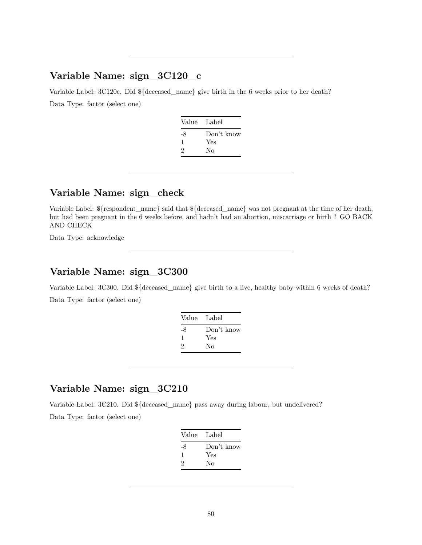### **Variable Name: sign\_3C120\_c**

Variable Label: 3C120c. Did \${deceased\_name} give birth in the 6 weeks prior to her death? Data Type: factor (select one)

| Value Label |            |
|-------------|------------|
| -8          | Don't know |
| ı           | Yes        |
| 2           | Nο         |
|             |            |

### **Variable Name: sign\_check**

Variable Label: \${respondent\_name} said that \${deceased\_name} was not pregnant at the time of her death, but had been pregnant in the 6 weeks before, and hadn't had an abortion, miscarriage or birth ? GO BACK AND CHECK

Data Type: acknowledge

#### **Variable Name: sign\_3C300**

Variable Label: 3C300. Did \${deceased\_name} give birth to a live, healthy baby within 6 weeks of death?

Data Type: factor (select one)

| Value Label |            |
|-------------|------------|
| -8          | Don't know |
| ı           | Yes        |
| 2           | Nο         |
|             |            |

### **Variable Name: sign\_3C210**

Variable Label: 3C210. Did \${deceased\_name} pass away during labour, but undelivered? Data Type: factor (select one)

| Value Label |            |
|-------------|------------|
| -8          | Don't know |
| 1           | Yes        |
| 2           | Nο         |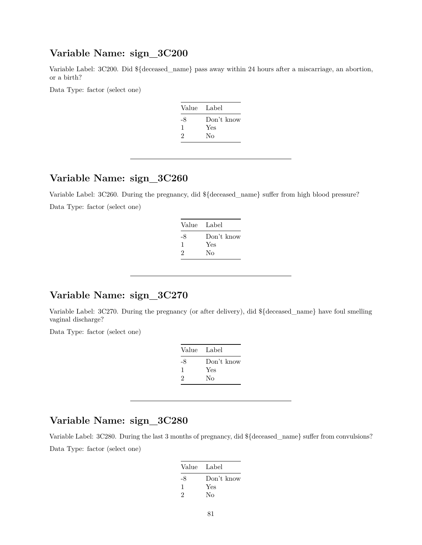#### **Variable Name: sign\_3C200**

Variable Label: 3C200. Did \${deceased\_name} pass away within 24 hours after a miscarriage, an abortion, or a birth?

Data Type: factor (select one)

| Value Label |            |
|-------------|------------|
| -8          | Don't know |
| ı           | Yes        |
| 2           | Nο         |
|             |            |

### **Variable Name: sign\_3C260**

Variable Label: 3C260. During the pregnancy, did \${deceased\_name} suffer from high blood pressure? Data Type: factor (select one)

| Value Label |            |
|-------------|------------|
| -8          | Don't know |
| 1           | Yes        |
| 2           | Nο         |
|             |            |

### **Variable Name: sign\_3C270**

Variable Label: 3C270. During the pregnancy (or after delivery), did \${deceased\_name} have foul smelling vaginal discharge?

Data Type: factor (select one)

| Value | Label      |
|-------|------------|
| -8    | Don't know |
|       | Yes        |
| 2     | Nο         |

### **Variable Name: sign\_3C280**

Variable Label: 3C280. During the last 3 months of pregnancy, did \${deceased\_name} suffer from convulsions? Data Type: factor (select one)

| Value Label |            |
|-------------|------------|
| -8          | Don't know |
| ı           | Yes        |
| 2           | Nο         |
|             |            |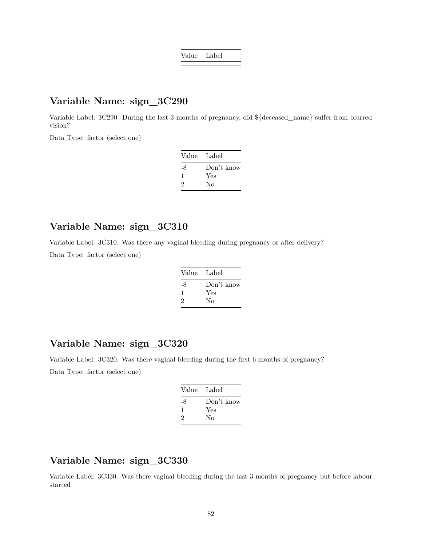Value Label

### **Variable Name: sign\_3C290**

Variable Label: 3C290. During the last 3 months of pregnancy, did \${deceased\_name} suffer from blurred vision?

Data Type: factor (select one)

| Value | Label      |
|-------|------------|
| -8    | Don't know |
| ı     | Yes        |
| 2     | Nο         |

### **Variable Name: sign\_3C310**

Variable Label: 3C310. Was there any vaginal bleeding during pregnancy or after delivery? Data Type: factor (select one)

| Value Label |
|-------------|
| Don't know  |
| Yes         |
| Nο          |
|             |

### **Variable Name: sign\_3C320**

Variable Label: 3C320. Was there vaginal bleeding during the first 6 months of pregnancy? Data Type: factor (select one)

| Value Label |
|-------------|
| Don't know  |
| Yes         |
| Nο          |
|             |

### **Variable Name: sign\_3C330**

Variable Label: 3C330. Was there vaginal bleeding during the last 3 months of pregnancy but before labour started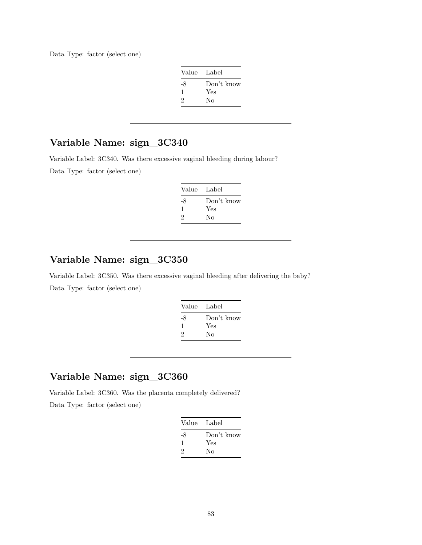Data Type: factor (select one)

| Value Label |            |
|-------------|------------|
| -8          | Don't know |
| -1          | Yes        |
| 2           | Nο         |

# **Variable Name: sign\_3C340**

Variable Label: 3C340. Was there excessive vaginal bleeding during labour? Data Type: factor (select one)

| Value Label |
|-------------|
| Don't know  |
| Yes         |
| Nο          |
|             |

# **Variable Name: sign\_3C350**

Variable Label: 3C350. Was there excessive vaginal bleeding after delivering the baby? Data Type: factor (select one)

| Value | Label      |
|-------|------------|
| -8    | Don't know |
| 1     | Yes        |
| 2     | No         |
|       |            |

### **Variable Name: sign\_3C360**

Variable Label: 3C360. Was the placenta completely delivered?

|    | Value Label |
|----|-------------|
| -8 | Don't know  |
| ı  | Yes         |
| 2  | No          |
|    |             |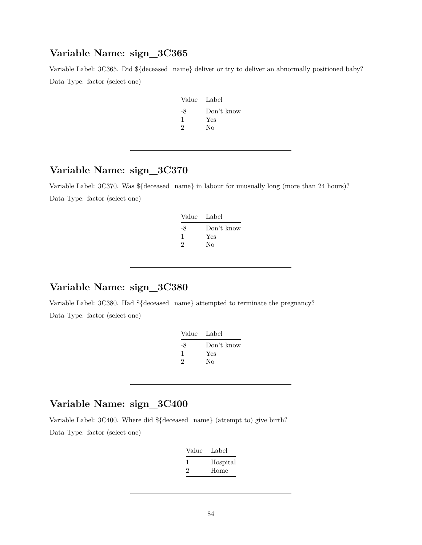#### **Variable Name: sign\_3C365**

Variable Label: 3C365. Did \${deceased\_name} deliver or try to deliver an abnormally positioned baby? Data Type: factor (select one)

| Value Label |            |
|-------------|------------|
| -8          | Don't know |
|             | Yes        |
| 2           | No         |

# **Variable Name: sign\_3C370**

Variable Label: 3C370. Was \${deceased\_name} in labour for unusually long (more than 24 hours)? Data Type: factor (select one)

| Value<br>Label |            |
|----------------|------------|
| -8             | Don't know |
| ı              | Yes        |
| Nο<br>2        |            |

### **Variable Name: sign\_3C380**

Variable Label: 3C380. Had \${deceased\_name} attempted to terminate the pregnancy? Data Type: factor (select one)

| Label      |
|------------|
| Don't know |
| Yes        |
| Nο         |
|            |

# **Variable Name: sign\_3C400**

Variable Label: 3C400. Where did \${deceased\_name} (attempt to) give birth?

| Value | Label            |
|-------|------------------|
| 2     | Hospital<br>Home |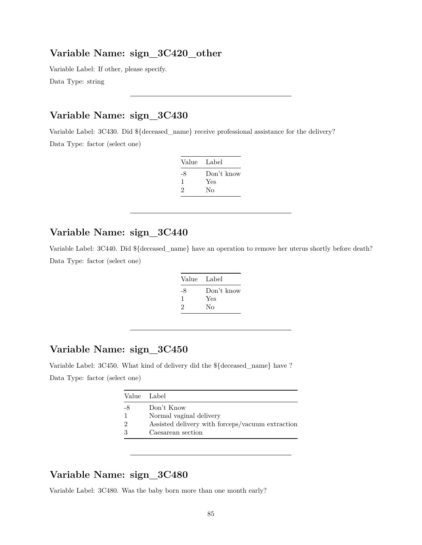#### **Variable Name: sign\_3C420\_other**

Variable Label: If other, please specify. Data Type: string

# **Variable Name: sign\_3C430**

Variable Label: 3C430. Did \${deceased\_name} receive professional assistance for the delivery? Data Type: factor (select one)

| Value Label |            |
|-------------|------------|
| -8          | Don't know |
| ı           | Yes        |
| 2           | Nο         |

### **Variable Name: sign\_3C440**

Variable Label: 3C440. Did \${deceased\_name} have an operation to remove her uterus shortly before death? Data Type: factor (select one)

| Value Label |            |
|-------------|------------|
| -8          | Don't know |
| ı           | Yes        |
| 2           | Nο         |

# **Variable Name: sign\_3C450**

Variable Label: 3C450. What kind of delivery did the \${deceased\_name} have ? Data Type: factor (select one)

| Value Label   |                                                  |
|---------------|--------------------------------------------------|
| -8            | Don't Know                                       |
|               | Normal vaginal delivery                          |
| $\mathcal{D}$ | Assisted delivery with forceps/vacuum extraction |
| 3             | Caesarean section                                |
|               |                                                  |

### **Variable Name: sign\_3C480**

Variable Label: 3C480. Was the baby born more than one month early?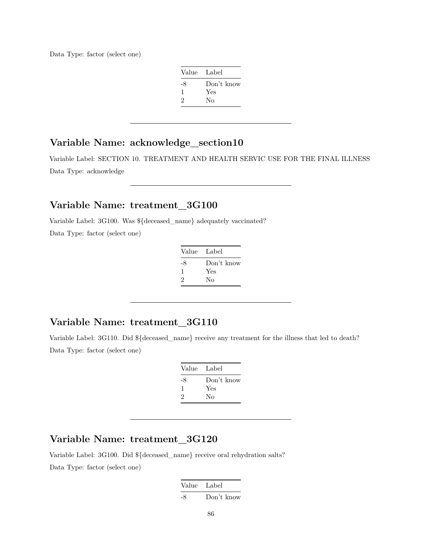Data Type: factor (select one)

| Value Label |            |
|-------------|------------|
| -8          | Don't know |
| 1           | Yes        |
| 2           | Nο         |
|             |            |

# **Variable Name: acknowledge\_section10**

Variable Label: SECTION 10. TREATMENT AND HEALTH SERVIC USE FOR THE FINAL ILLNESS Data Type: acknowledge

### **Variable Name: treatment\_3G100**

Variable Label: 3G100. Was \${deceased\_name} adequately vaccinated?

Data Type: factor (select one)

| Value Label |            |
|-------------|------------|
| -8          | Don't know |
| ı           | Yes        |
| 2           | No         |

#### **Variable Name: treatment\_3G110**

Variable Label: 3G110. Did \${deceased\_name} receive any treatment for the illness that led to death? Data Type: factor (select one)

| Label      |
|------------|
| Don't know |
| Yes        |
| Nο         |
|            |

# **Variable Name: treatment\_3G120**

Variable Label: 3G100. Did \${deceased\_name} receive oral rehydration salts? Data Type: factor (select one)

> Value Label -8 Don't know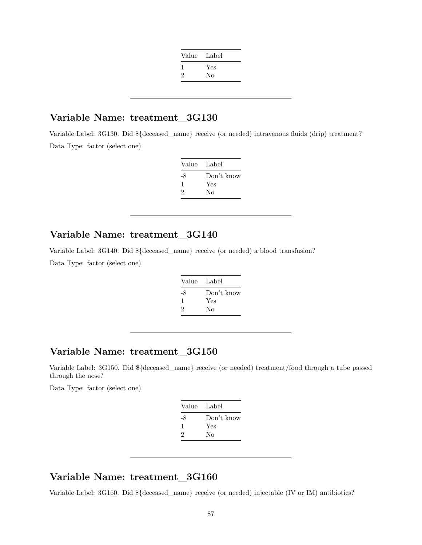| Value | Label |
|-------|-------|
|       | Yes   |
| '2    | No    |
|       |       |

#### **Variable Name: treatment\_3G130**

Variable Label: 3G130. Did \${deceased\_name} receive (or needed) intravenous fluids (drip) treatment? Data Type: factor (select one)

| Value | Label      |
|-------|------------|
| -8    | Don't know |
|       | Yes        |
| 2     | Nο         |
|       |            |

#### **Variable Name: treatment\_3G140**

Variable Label: 3G140. Did \${deceased\_name} receive (or needed) a blood transfusion?

Data Type: factor (select one)

| Value Label |
|-------------|
| Don't know  |
| Yes         |
| Nο          |
|             |

### **Variable Name: treatment\_3G150**

Variable Label: 3G150. Did \${deceased\_name} receive (or needed) treatment/food through a tube passed through the nose?

Data Type: factor (select one)

| Value Label |            |
|-------------|------------|
| -8          | Don't know |
| ı           | Yes        |
| 2           | Nο         |
|             |            |

#### **Variable Name: treatment\_3G160**

Variable Label: 3G160. Did  ${\{\text{deseased\_name}\}}$  receive (or needed) injectable (IV or IM) antibiotics?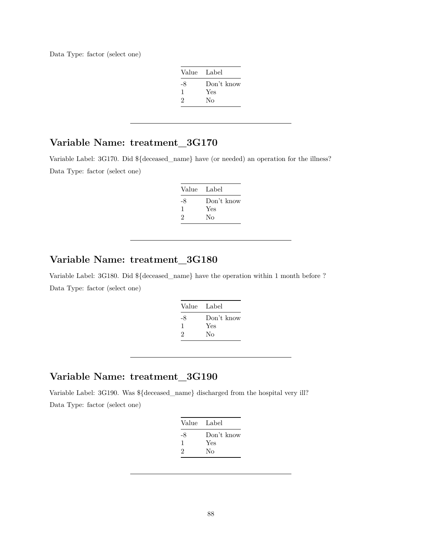Data Type: factor (select one)

| Value Label |            |
|-------------|------------|
| -8          | Don't know |
| -1          | Yes        |
| 2           | Nο         |

### **Variable Name: treatment\_3G170**

Variable Label: 3G170. Did \${deceased\_name} have (or needed) an operation for the illness? Data Type: factor (select one)

| Value Label |            |
|-------------|------------|
| -8          | Don't know |
| ı.          | Yes        |
| 2           | Nο         |

#### **Variable Name: treatment\_3G180**

Variable Label: 3G180. Did \${deceased\_name} have the operation within 1 month before ? Data Type: factor (select one)

| Value | Label      |
|-------|------------|
| -8    | Don't know |
| 1     | Yes        |
| 2     | Nο         |
|       |            |

### **Variable Name: treatment\_3G190**

Variable Label: 3G190. Was \${deceased\_name} discharged from the hospital very ill? Data Type: factor (select one)

| Value Label |            |
|-------------|------------|
| -8          | Don't know |
| ı           | Yes        |
| 2           | Nο         |
|             |            |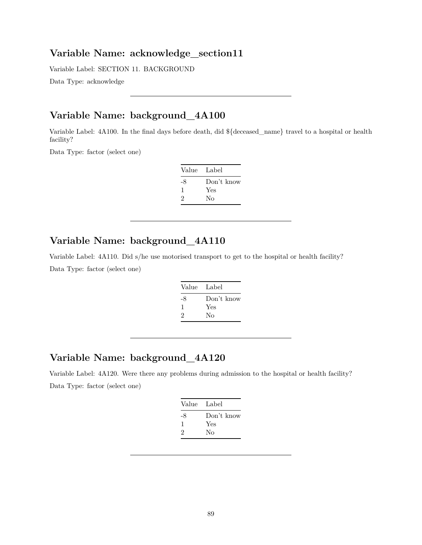#### **Variable Name: acknowledge\_section11**

Variable Label: SECTION 11. BACKGROUND

Data Type: acknowledge

# **Variable Name: background\_4A100**

Variable Label: 4A100. In the final days before death, did \${deceased\_name} travel to a hospital or health facility?

Data Type: factor (select one)

| Value Label |            |
|-------------|------------|
| -8          | Don't know |
| ı           | Yes        |
| 2           | Nο         |

### **Variable Name: background\_4A110**

Variable Label: 4A110. Did s/he use motorised transport to get to the hospital or health facility? Data Type: factor (select one)

| Value Label |            |
|-------------|------------|
| -8          | Don't know |
| 1           | Yes        |
| 2           | Nο         |

### **Variable Name: background\_4A120**

Variable Label: 4A120. Were there any problems during admission to the hospital or health facility? Data Type: factor (select one)

|    | Value Label |
|----|-------------|
| -8 | Don't know  |
| л. | Yes         |
| 2  | No          |
|    |             |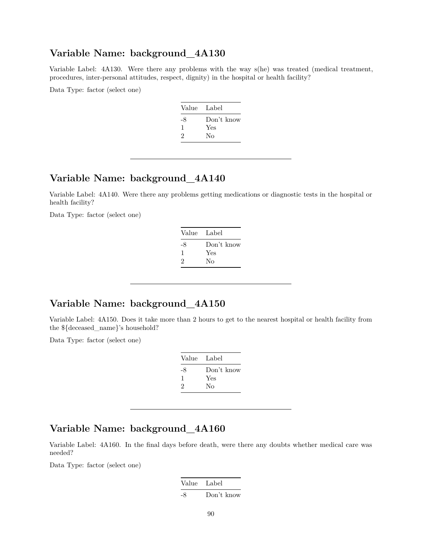#### **Variable Name: background\_4A130**

Variable Label: 4A130. Were there any problems with the way s(he) was treated (medical treatment, procedures, inter-personal attitudes, respect, dignity) in the hospital or health facility?

Data Type: factor (select one)

| Value Label |            |
|-------------|------------|
| -8          | Don't know |
| ı           | Yes        |
| 2           | Nο         |
|             |            |

### **Variable Name: background\_4A140**

Variable Label: 4A140. Were there any problems getting medications or diagnostic tests in the hospital or health facility?

Data Type: factor (select one)

| Value        | Label      |
|--------------|------------|
| -8           | Don't know |
| $\mathbf{I}$ | Yes        |
| 2            | No         |
|              |            |

### **Variable Name: background\_4A150**

Variable Label: 4A150. Does it take more than 2 hours to get to the nearest hospital or health facility from the \${deceased\_name}'s household?

Data Type: factor (select one)

| Value Label |            |
|-------------|------------|
| -8          | Don't know |
| 1           | Yes        |
| 2           | Nο         |

### **Variable Name: background\_4A160**

Variable Label: 4A160. In the final days before death, were there any doubts whether medical care was needed?

| Value Label |            |
|-------------|------------|
| -8          | Don't know |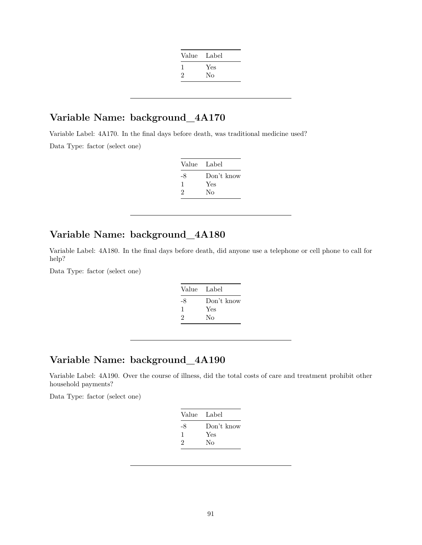| Value Label |     |
|-------------|-----|
|             | Yes |
| 2           | No  |
|             |     |

### **Variable Name: background\_4A170**

Variable Label: 4A170. In the final days before death, was traditional medicine used? Data Type: factor (select one)

| Value Label |
|-------------|
| Don't know  |
| Yes         |
| Nο          |
|             |

### **Variable Name: background\_4A180**

Variable Label: 4A180. In the final days before death, did anyone use a telephone or cell phone to call for help?

Data Type: factor (select one)

| Value | Label      |
|-------|------------|
| -8    | Don't know |
| 1     | Yes        |
| 2     | No         |
|       |            |

### **Variable Name: background\_4A190**

Variable Label: 4A190. Over the course of illness, did the total costs of care and treatment prohibit other household payments?

|    | Value Label |
|----|-------------|
| -8 | Don't know  |
|    | Yes         |
| 2  | No          |
|    |             |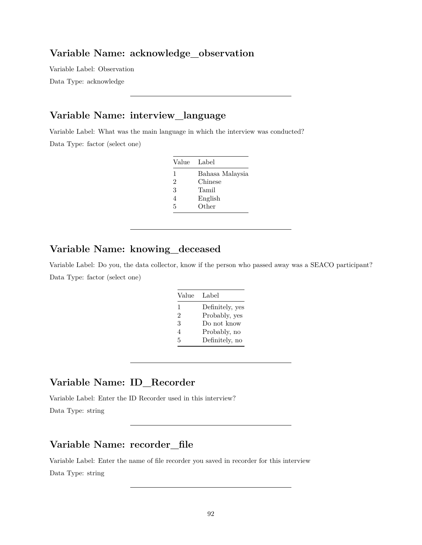#### **Variable Name: acknowledge\_observation**

Variable Label: Observation Data Type: acknowledge

# **Variable Name: interview\_language**

Variable Label: What was the main language in which the interview was conducted? Data Type: factor (select one)

| Value | Label           |
|-------|-----------------|
| 1     | Bahasa Malaysia |
| 2     | Chinese         |
| 3     | Tamil           |
| 4     | English         |
| 5     | Other           |

### **Variable Name: knowing\_deceased**

Variable Label: Do you, the data collector, know if the person who passed away was a SEACO participant? Data Type: factor (select one)

| Value | Label           |
|-------|-----------------|
| 1     | Definitely, yes |
| 2     | Probably, yes   |
| 3     | Do not know     |
| 4     | Probably, no    |
| 5     | Definitely, no  |

#### **Variable Name: ID\_Recorder**

Variable Label: Enter the ID Recorder used in this interview?

Data Type: string

### **Variable Name: recorder\_file**

Variable Label: Enter the name of file recorder you saved in recorder for this interview Data Type: string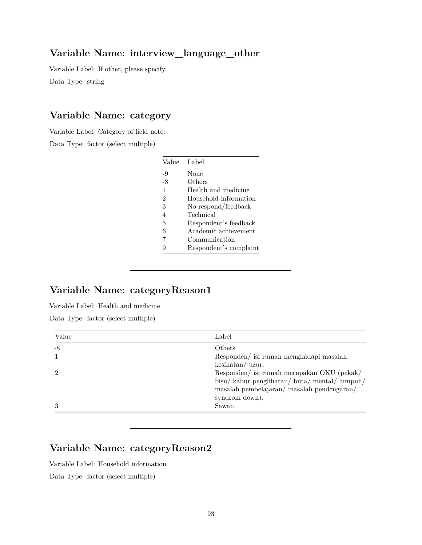### **Variable Name: interview\_language\_other**

Variable Label: If other, please specify.

Data Type: string

# **Variable Name: category**

Variable Label: Category of field note:

Data Type: factor (select multiple)

| Value          | Label                  |
|----------------|------------------------|
| -9             | None                   |
| -8             | Others                 |
| 1              | Health and medicine    |
| $\overline{2}$ | Household information  |
| 3              | No respond/feedback    |
| $\overline{4}$ | Technical              |
| 5              | Respondent's feedback  |
| 6              | Academic achievement   |
| 7              | Communication          |
| 9              | Respondent's complaint |

# **Variable Name: categoryReason1**

Variable Label: Health and medicine

Data Type: factor (select multiple)

| Value | Label                                      |
|-------|--------------------------------------------|
| -8    | <b>Others</b>                              |
|       | Responden/ isi rumah menghadapi masalah    |
|       | $keshatan/$ uzur.                          |
|       | Responden/ isi rumah merupakan OKU (pekak/ |
|       | bisu/kabur penglihatan/buta/mental/lumpuh/ |
|       | masalah pembelajaran/masalah pendengaran/  |
|       | syndrom down).                             |
| 3     | Sawan                                      |

# **Variable Name: categoryReason2**

Variable Label: Household information

Data Type: factor (select multiple)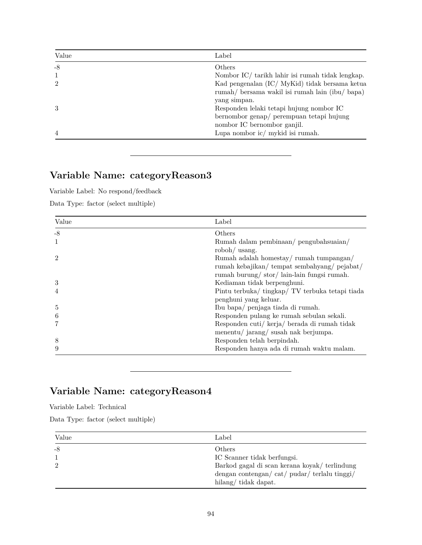| Value          | Label                                                                                                |
|----------------|------------------------------------------------------------------------------------------------------|
| $-8$           | Others                                                                                               |
|                | Nombor IC/ tarikh lahir isi rumah tidak lengkap.                                                     |
| $\overline{2}$ | Kad pengenalan (IC/ MyKid) tidak bersama ketua<br>rumah/ bersama wakil isi rumah lain (ibu/ bapa)    |
| $\mathcal{S}$  | yang simpan.<br>Responden lelaki tetapi hujung nombor IC<br>bernombor genap/ perempuan tetapi hujung |
| $\overline{4}$ | nombor IC bernombor ganjil.<br>Lupa nombor ic/ mykid isi rumah.                                      |

# **Variable Name: categoryReason3**

Variable Label: No respond/feedback

Data Type: factor (select multiple)

| Value         | Label                                           |
|---------------|-------------------------------------------------|
| $-8$          | Others                                          |
|               | Rumah dalam pembinaan/ pengubahsuaian/          |
|               | roboh/ usang.                                   |
| $\mathcal{D}$ | Rumah adalah homestay/rumah tumpangan/          |
|               | rumah kebajikan/tempat sembahyang/pejabat/      |
|               | rumah burung/stor/lain-lain fungsi rumah.       |
| 3             | Kediaman tidak berpenghuni.                     |
|               | Pintu terbuka/ tingkap/ TV terbuka tetapi tiada |
|               | penghuni yang keluar.                           |
| 5             | Ibu bapa/ penjaga tiada di rumah.               |
| 6             | Responden pulang ke rumah sebulan sekali.       |
|               | Responden cuti/ kerja/ berada di rumah tidak    |
|               | menentu/ jarang/ susah nak berjumpa.            |
| 8             | Responden telah berpindah.                      |
| 9             | Responden hanya ada di rumah waktu malam.       |

# **Variable Name: categoryReason4**

Variable Label: Technical

Data Type: factor (select multiple)

| Value | Label                                                                                              |
|-------|----------------------------------------------------------------------------------------------------|
| -8    | Others<br>IC Scanner tidak berfungsi.                                                              |
|       | Barkod gagal di scan kerana koyak/ terlindung<br>dengan contengan/ $cat/$ pudar/ $terlalu$ tinggi/ |
|       | hilang/tidak dapat.                                                                                |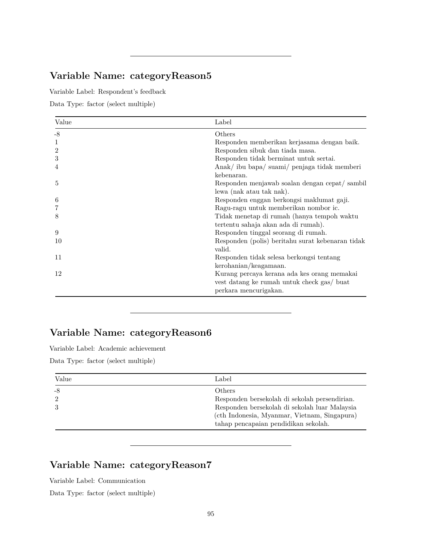# **Variable Name: categoryReason5**

Variable Label: Respondent's feedback

Data Type: factor (select multiple)

| Value | Label                                                                                                              |
|-------|--------------------------------------------------------------------------------------------------------------------|
| $-8$  | Others                                                                                                             |
| 1     | Responden memberikan kerjasama dengan baik.                                                                        |
| 2     | Responden sibuk dan tiada masa.                                                                                    |
| 3     | Responden tidak berminat untuk sertai.                                                                             |
| 4     | Anak/ibu bapa/suami/penjaga tidak memberi<br>kebenaran.                                                            |
| 5     | Responden menjawab soalan dengan cepat/sambil<br>lewa (nak atau tak nak).                                          |
| 6     | Responden enggan berkongsi maklumat gaji.                                                                          |
|       | Ragu-ragu untuk memberikan nombor ic.                                                                              |
| 8     | Tidak menetap di rumah (hanya tempoh waktu<br>tertentu sahaja akan ada di rumah).                                  |
| 9     | Responden tinggal seorang di rumah.                                                                                |
| 10    | Responden (polis) beritahu surat kebenaran tidak<br>valid.                                                         |
| 11    | Responden tidak selesa berkongsi tentang<br>kerohanian/keagamaan.                                                  |
| 12    | Kurang percaya kerana ada kes orang memakai<br>vest datang ke rumah untuk check gas/ buat<br>perkara mencurigakan. |

# **Variable Name: categoryReason6**

Variable Label: Academic achievement

Data Type: factor (select multiple)

| Value                  | Label                                                                                                                                                                                                   |
|------------------------|---------------------------------------------------------------------------------------------------------------------------------------------------------------------------------------------------------|
| $-8$<br>$\overline{2}$ | <b>Others</b><br>Responden bersekolah di sekolah persendirian.<br>Responden bersekolah di sekolah luar Malaysia<br>(cth Indonesia, Myanmar, Vietnam, Singapura)<br>tahap pencapaian pendidikan sekolah. |

# **Variable Name: categoryReason7**

Variable Label: Communication

Data Type: factor (select multiple)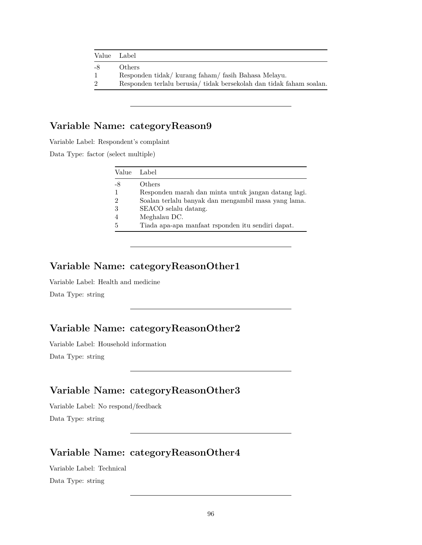| Value Label    |                                                                    |
|----------------|--------------------------------------------------------------------|
| -8             | Others                                                             |
| $\mathbf{1}$   | Respondentidak/kurang faham/fasih Bahasa Melayu.                   |
| $\overline{2}$ | Responden terlalu berusia/tidak bersekolah dan tidak faham soalan. |

# **Variable Name: categoryReason9**

Variable Label: Respondent's complaint

Data Type: factor (select multiple)

| Value | Label                                               |
|-------|-----------------------------------------------------|
| -8    | Others                                              |
|       | Responden marah dan minta untuk jangan datang lagi. |
| 2     | Soalan terlalu banyak dan mengambil masa yang lama. |
| 3     | SEACO selalu datang.                                |
|       | Meghalau DC.                                        |
| 5     | Tiada apa-apa manfaat rsponden itu sendiri dapat.   |
|       |                                                     |

#### **Variable Name: categoryReasonOther1**

Variable Label: Health and medicine Data Type: string

# **Variable Name: categoryReasonOther2**

Variable Label: Household information

Data Type: string

### **Variable Name: categoryReasonOther3**

Variable Label: No respond/feedback Data Type: string

### **Variable Name: categoryReasonOther4**

Variable Label: Technical Data Type: string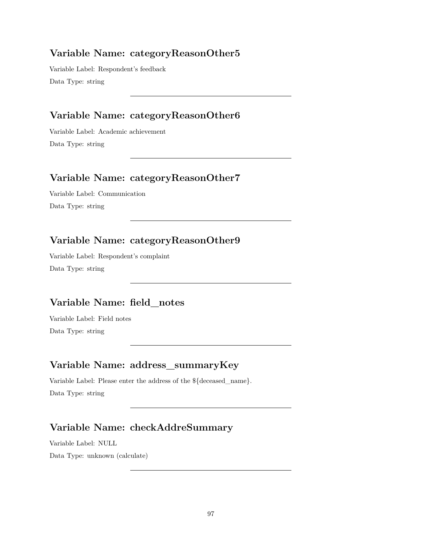### **Variable Name: categoryReasonOther5**

Variable Label: Respondent's feedback Data Type: string

### **Variable Name: categoryReasonOther6**

Variable Label: Academic achievement Data Type: string

### **Variable Name: categoryReasonOther7**

Variable Label: Communication Data Type: string

# **Variable Name: categoryReasonOther9**

Variable Label: Respondent's complaint Data Type: string

# **Variable Name: field\_notes**

Variable Label: Field notes Data Type: string

### **Variable Name: address\_summaryKey**

Variable Label: Please enter the address of the \${deceased\_name}. Data Type: string

# **Variable Name: checkAddreSummary**

Variable Label: NULL Data Type: unknown (calculate)